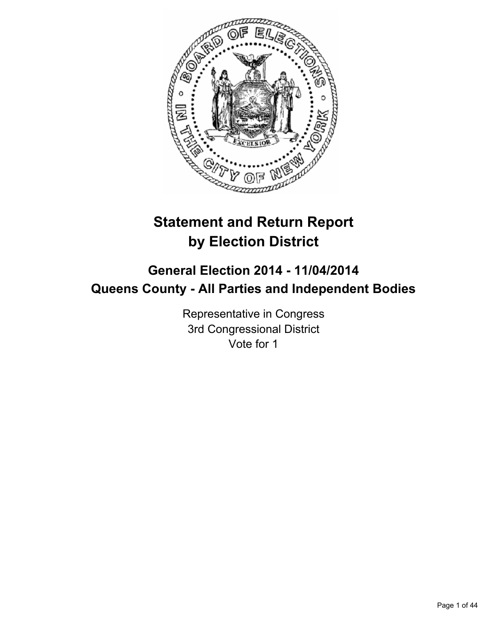

# **Statement and Return Report by Election District**

# **General Election 2014 - 11/04/2014 Queens County - All Parties and Independent Bodies**

Representative in Congress 3rd Congressional District Vote for 1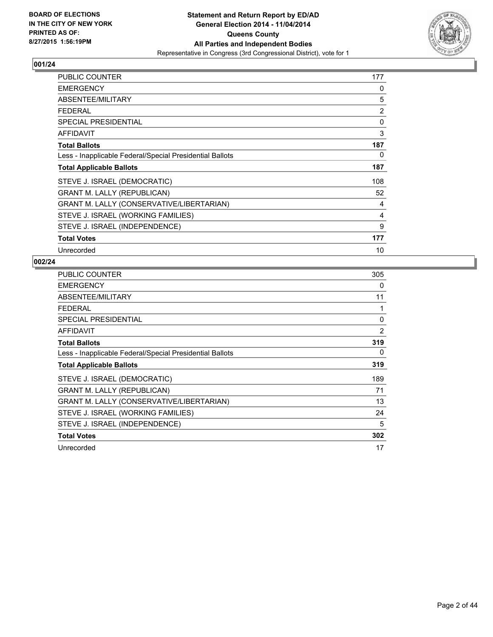

| <b>PUBLIC COUNTER</b>                                    | 177            |
|----------------------------------------------------------|----------------|
| <b>EMERGENCY</b>                                         | 0              |
| ABSENTEE/MILITARY                                        | 5              |
| <b>FEDERAL</b>                                           | $\overline{2}$ |
| <b>SPECIAL PRESIDENTIAL</b>                              | 0              |
| <b>AFFIDAVIT</b>                                         | 3              |
| <b>Total Ballots</b>                                     | 187            |
| Less - Inapplicable Federal/Special Presidential Ballots | 0              |
| <b>Total Applicable Ballots</b>                          | 187            |
| STEVE J. ISRAEL (DEMOCRATIC)                             | 108            |
| <b>GRANT M. LALLY (REPUBLICAN)</b>                       | 52             |
| GRANT M. LALLY (CONSERVATIVE/LIBERTARIAN)                | 4              |
| STEVE J. ISRAEL (WORKING FAMILIES)                       | 4              |
| STEVE J. ISRAEL (INDEPENDENCE)                           | 9              |
| <b>Total Votes</b>                                       | 177            |
| Unrecorded                                               | 10             |

| PUBLIC COUNTER                                           | 305 |
|----------------------------------------------------------|-----|
| <b>EMERGENCY</b>                                         | 0   |
| ABSENTEE/MILITARY                                        | 11  |
| <b>FEDERAL</b>                                           | 1   |
| <b>SPECIAL PRESIDENTIAL</b>                              | 0   |
| <b>AFFIDAVIT</b>                                         | 2   |
| <b>Total Ballots</b>                                     | 319 |
| Less - Inapplicable Federal/Special Presidential Ballots | 0   |
| <b>Total Applicable Ballots</b>                          | 319 |
| STEVE J. ISRAEL (DEMOCRATIC)                             | 189 |
| <b>GRANT M. LALLY (REPUBLICAN)</b>                       | 71  |
| GRANT M. LALLY (CONSERVATIVE/LIBERTARIAN)                | 13  |
| STEVE J. ISRAEL (WORKING FAMILIES)                       | 24  |
| STEVE J. ISRAEL (INDEPENDENCE)                           | 5   |
| <b>Total Votes</b>                                       | 302 |
| Unrecorded                                               | 17  |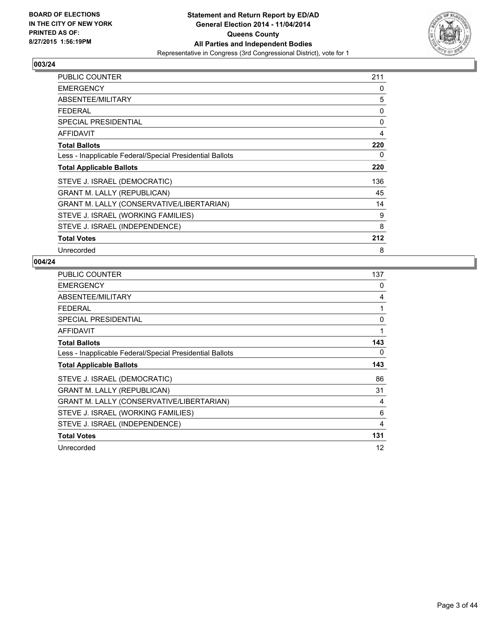

| PUBLIC COUNTER                                           | 211 |
|----------------------------------------------------------|-----|
| <b>EMERGENCY</b>                                         | 0   |
| ABSENTEE/MILITARY                                        | 5   |
| <b>FEDERAL</b>                                           | 0   |
| <b>SPECIAL PRESIDENTIAL</b>                              | 0   |
| AFFIDAVIT                                                | 4   |
| <b>Total Ballots</b>                                     | 220 |
| Less - Inapplicable Federal/Special Presidential Ballots | 0   |
| <b>Total Applicable Ballots</b>                          | 220 |
| STEVE J. ISRAEL (DEMOCRATIC)                             | 136 |
| <b>GRANT M. LALLY (REPUBLICAN)</b>                       | 45  |
| GRANT M. LALLY (CONSERVATIVE/LIBERTARIAN)                | 14  |
| STEVE J. ISRAEL (WORKING FAMILIES)                       | 9   |
| STEVE J. ISRAEL (INDEPENDENCE)                           | 8   |
| <b>Total Votes</b>                                       | 212 |
| Unrecorded                                               | 8   |

| <b>PUBLIC COUNTER</b>                                    | 137 |
|----------------------------------------------------------|-----|
| <b>EMERGENCY</b>                                         | 0   |
| ABSENTEE/MILITARY                                        | 4   |
| <b>FEDERAL</b>                                           | 1   |
| <b>SPECIAL PRESIDENTIAL</b>                              | 0   |
| <b>AFFIDAVIT</b>                                         | 1   |
| <b>Total Ballots</b>                                     | 143 |
| Less - Inapplicable Federal/Special Presidential Ballots | 0   |
| <b>Total Applicable Ballots</b>                          | 143 |
| STEVE J. ISRAEL (DEMOCRATIC)                             | 86  |
| <b>GRANT M. LALLY (REPUBLICAN)</b>                       | 31  |
| GRANT M. LALLY (CONSERVATIVE/LIBERTARIAN)                | 4   |
| STEVE J. ISRAEL (WORKING FAMILIES)                       | 6   |
| STEVE J. ISRAEL (INDEPENDENCE)                           | 4   |
| <b>Total Votes</b>                                       | 131 |
| Unrecorded                                               | 12  |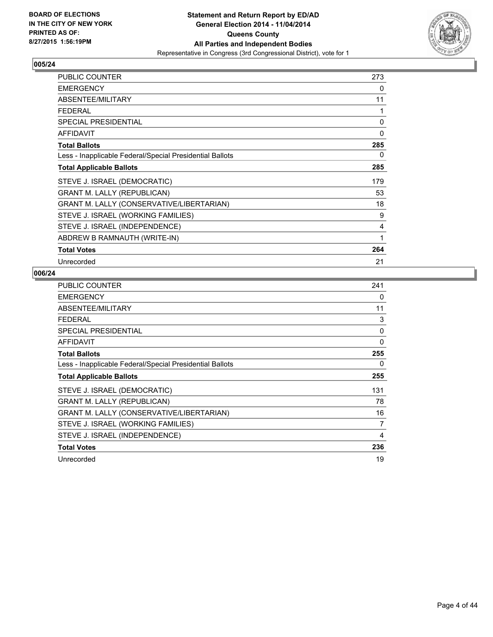

| PUBLIC COUNTER                                           | 273          |
|----------------------------------------------------------|--------------|
| <b>EMERGENCY</b>                                         | 0            |
| ABSENTEE/MILITARY                                        | 11           |
| <b>FEDERAL</b>                                           | 1            |
| SPECIAL PRESIDENTIAL                                     | $\mathbf{0}$ |
| <b>AFFIDAVIT</b>                                         | 0            |
| <b>Total Ballots</b>                                     | 285          |
| Less - Inapplicable Federal/Special Presidential Ballots | 0            |
| <b>Total Applicable Ballots</b>                          | 285          |
| STEVE J. ISRAEL (DEMOCRATIC)                             | 179          |
| <b>GRANT M. LALLY (REPUBLICAN)</b>                       | 53           |
| GRANT M. LALLY (CONSERVATIVE/LIBERTARIAN)                | 18           |
| STEVE J. ISRAEL (WORKING FAMILIES)                       | 9            |
| STEVE J. ISRAEL (INDEPENDENCE)                           | 4            |
| ABDREW B RAMNAUTH (WRITE-IN)                             | 1            |
| <b>Total Votes</b>                                       | 264          |
| Unrecorded                                               | 21           |

| <b>PUBLIC COUNTER</b>                                    | 241      |
|----------------------------------------------------------|----------|
| <b>EMERGENCY</b>                                         | 0        |
| ABSENTEE/MILITARY                                        | 11       |
| <b>FEDERAL</b>                                           | 3        |
| <b>SPECIAL PRESIDENTIAL</b>                              | $\Omega$ |
| <b>AFFIDAVIT</b>                                         | $\Omega$ |
| <b>Total Ballots</b>                                     | 255      |
| Less - Inapplicable Federal/Special Presidential Ballots | 0        |
| <b>Total Applicable Ballots</b>                          | 255      |
| STEVE J. ISRAEL (DEMOCRATIC)                             | 131      |
| <b>GRANT M. LALLY (REPUBLICAN)</b>                       | 78       |
| <b>GRANT M. LALLY (CONSERVATIVE/LIBERTARIAN)</b>         | 16       |
| STEVE J. ISRAEL (WORKING FAMILIES)                       | 7        |
| STEVE J. ISRAEL (INDEPENDENCE)                           | 4        |
| <b>Total Votes</b>                                       | 236      |
| Unrecorded                                               | 19       |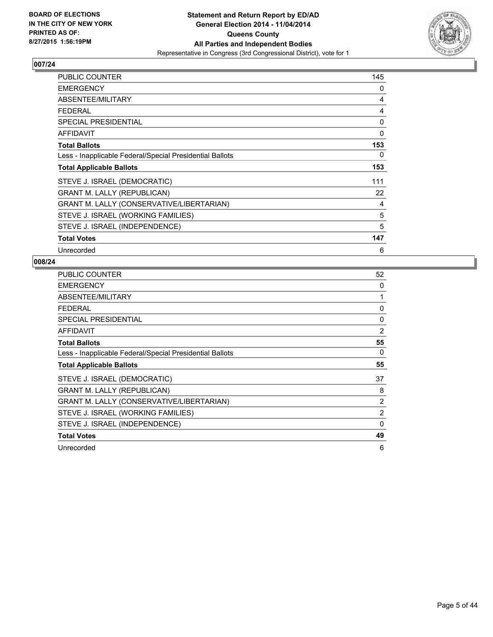

| <b>PUBLIC COUNTER</b>                                    | 145 |
|----------------------------------------------------------|-----|
| <b>EMERGENCY</b>                                         | 0   |
| ABSENTEE/MILITARY                                        | 4   |
| <b>FEDERAL</b>                                           | 4   |
| <b>SPECIAL PRESIDENTIAL</b>                              | 0   |
| <b>AFFIDAVIT</b>                                         | 0   |
| <b>Total Ballots</b>                                     | 153 |
| Less - Inapplicable Federal/Special Presidential Ballots | 0   |
| <b>Total Applicable Ballots</b>                          | 153 |
| STEVE J. ISRAEL (DEMOCRATIC)                             | 111 |
| <b>GRANT M. LALLY (REPUBLICAN)</b>                       | 22  |
| <b>GRANT M. LALLY (CONSERVATIVE/LIBERTARIAN)</b>         | 4   |
| STEVE J. ISRAEL (WORKING FAMILIES)                       | 5   |
| STEVE J. ISRAEL (INDEPENDENCE)                           | 5   |
| <b>Total Votes</b>                                       | 147 |
| Unrecorded                                               | 6   |

| PUBLIC COUNTER                                           | 52             |
|----------------------------------------------------------|----------------|
| <b>EMERGENCY</b>                                         | 0              |
| ABSENTEE/MILITARY                                        |                |
| <b>FEDERAL</b>                                           | 0              |
| <b>SPECIAL PRESIDENTIAL</b>                              | 0              |
| <b>AFFIDAVIT</b>                                         | 2              |
| <b>Total Ballots</b>                                     | 55             |
| Less - Inapplicable Federal/Special Presidential Ballots | 0              |
| <b>Total Applicable Ballots</b>                          | 55             |
| STEVE J. ISRAEL (DEMOCRATIC)                             | 37             |
| <b>GRANT M. LALLY (REPUBLICAN)</b>                       | 8              |
| GRANT M. LALLY (CONSERVATIVE/LIBERTARIAN)                | $\overline{2}$ |
| STEVE J. ISRAEL (WORKING FAMILIES)                       | $\overline{2}$ |
| STEVE J. ISRAEL (INDEPENDENCE)                           | 0              |
| <b>Total Votes</b>                                       | 49             |
| Unrecorded                                               | 6              |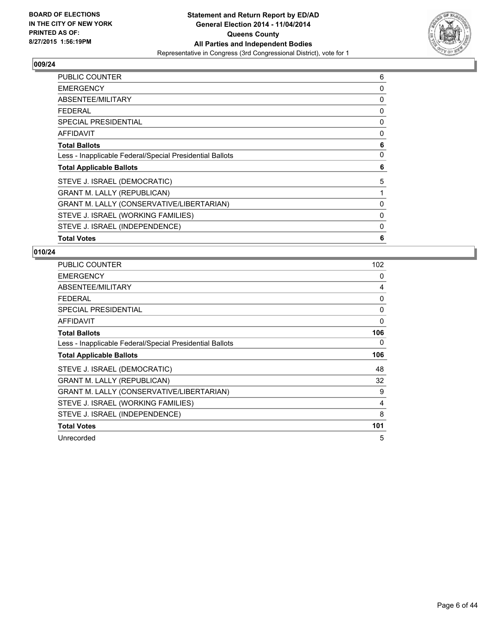

| <b>PUBLIC COUNTER</b>                                    | 6 |
|----------------------------------------------------------|---|
| <b>EMERGENCY</b>                                         | 0 |
| ABSENTEE/MILITARY                                        | 0 |
| <b>FEDERAL</b>                                           | 0 |
| <b>SPECIAL PRESIDENTIAL</b>                              | 0 |
| AFFIDAVIT                                                | 0 |
| <b>Total Ballots</b>                                     | 6 |
| Less - Inapplicable Federal/Special Presidential Ballots | 0 |
| <b>Total Applicable Ballots</b>                          | 6 |
| STEVE J. ISRAEL (DEMOCRATIC)                             | 5 |
| <b>GRANT M. LALLY (REPUBLICAN)</b>                       | 1 |
| GRANT M. LALLY (CONSERVATIVE/LIBERTARIAN)                | 0 |
| STEVE J. ISRAEL (WORKING FAMILIES)                       | 0 |
| STEVE J. ISRAEL (INDEPENDENCE)                           | 0 |
| <b>Total Votes</b>                                       | 6 |

| <b>PUBLIC COUNTER</b>                                    | 102 |
|----------------------------------------------------------|-----|
| <b>EMERGENCY</b>                                         | 0   |
| ABSENTEE/MILITARY                                        | 4   |
| <b>FEDERAL</b>                                           | 0   |
| <b>SPECIAL PRESIDENTIAL</b>                              | 0   |
| <b>AFFIDAVIT</b>                                         | 0   |
| <b>Total Ballots</b>                                     | 106 |
| Less - Inapplicable Federal/Special Presidential Ballots | 0   |
| <b>Total Applicable Ballots</b>                          | 106 |
| STEVE J. ISRAEL (DEMOCRATIC)                             | 48  |
| <b>GRANT M. LALLY (REPUBLICAN)</b>                       | 32  |
| GRANT M. LALLY (CONSERVATIVE/LIBERTARIAN)                | 9   |
| STEVE J. ISRAEL (WORKING FAMILIES)                       | 4   |
| STEVE J. ISRAEL (INDEPENDENCE)                           | 8   |
| <b>Total Votes</b>                                       | 101 |
| Unrecorded                                               | 5   |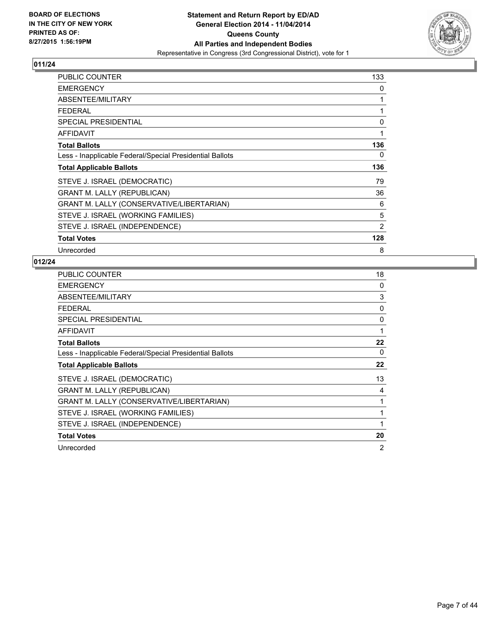

| <b>PUBLIC COUNTER</b>                                    | 133            |
|----------------------------------------------------------|----------------|
| <b>EMERGENCY</b>                                         | 0              |
| ABSENTEE/MILITARY                                        | 1              |
| <b>FEDERAL</b>                                           | 1              |
| <b>SPECIAL PRESIDENTIAL</b>                              | 0              |
| <b>AFFIDAVIT</b>                                         | 1              |
| <b>Total Ballots</b>                                     | 136            |
| Less - Inapplicable Federal/Special Presidential Ballots | 0              |
| <b>Total Applicable Ballots</b>                          | 136            |
| STEVE J. ISRAEL (DEMOCRATIC)                             | 79             |
| <b>GRANT M. LALLY (REPUBLICAN)</b>                       | 36             |
| <b>GRANT M. LALLY (CONSERVATIVE/LIBERTARIAN)</b>         | 6              |
| STEVE J. ISRAEL (WORKING FAMILIES)                       | 5              |
| STEVE J. ISRAEL (INDEPENDENCE)                           | $\overline{2}$ |
| <b>Total Votes</b>                                       | 128            |
| Unrecorded                                               | 8              |

| PUBLIC COUNTER                                           | 18             |
|----------------------------------------------------------|----------------|
| <b>EMERGENCY</b>                                         | 0              |
| ABSENTEE/MILITARY                                        | 3              |
| <b>FEDERAL</b>                                           | 0              |
| <b>SPECIAL PRESIDENTIAL</b>                              | 0              |
| <b>AFFIDAVIT</b>                                         | 1              |
| <b>Total Ballots</b>                                     | 22             |
| Less - Inapplicable Federal/Special Presidential Ballots | 0              |
| <b>Total Applicable Ballots</b>                          | 22             |
| STEVE J. ISRAEL (DEMOCRATIC)                             | 13             |
| <b>GRANT M. LALLY (REPUBLICAN)</b>                       | 4              |
| GRANT M. LALLY (CONSERVATIVE/LIBERTARIAN)                | 1              |
| STEVE J. ISRAEL (WORKING FAMILIES)                       | 1              |
| STEVE J. ISRAEL (INDEPENDENCE)                           | 1              |
| <b>Total Votes</b>                                       | 20             |
| Unrecorded                                               | $\overline{2}$ |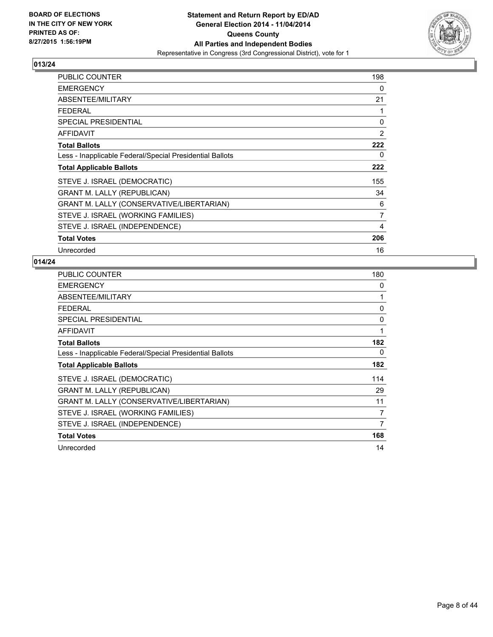

| PUBLIC COUNTER                                           | 198            |
|----------------------------------------------------------|----------------|
| <b>EMERGENCY</b>                                         | 0              |
| ABSENTEE/MILITARY                                        | 21             |
| <b>FEDERAL</b>                                           | 1              |
| <b>SPECIAL PRESIDENTIAL</b>                              | 0              |
| <b>AFFIDAVIT</b>                                         | $\overline{2}$ |
| <b>Total Ballots</b>                                     | 222            |
| Less - Inapplicable Federal/Special Presidential Ballots | 0              |
| <b>Total Applicable Ballots</b>                          | 222            |
| STEVE J. ISRAEL (DEMOCRATIC)                             | 155            |
| <b>GRANT M. LALLY (REPUBLICAN)</b>                       | 34             |
| GRANT M. LALLY (CONSERVATIVE/LIBERTARIAN)                | 6              |
| STEVE J. ISRAEL (WORKING FAMILIES)                       | $\overline{7}$ |
| STEVE J. ISRAEL (INDEPENDENCE)                           | 4              |
| <b>Total Votes</b>                                       | 206            |
| Unrecorded                                               | 16             |

| <b>PUBLIC COUNTER</b>                                    | 180 |
|----------------------------------------------------------|-----|
| <b>EMERGENCY</b>                                         | 0   |
| ABSENTEE/MILITARY                                        |     |
| <b>FEDERAL</b>                                           | 0   |
| <b>SPECIAL PRESIDENTIAL</b>                              | 0   |
| <b>AFFIDAVIT</b>                                         | 1   |
| <b>Total Ballots</b>                                     | 182 |
| Less - Inapplicable Federal/Special Presidential Ballots | 0   |
| <b>Total Applicable Ballots</b>                          | 182 |
| STEVE J. ISRAEL (DEMOCRATIC)                             | 114 |
| <b>GRANT M. LALLY (REPUBLICAN)</b>                       | 29  |
| GRANT M. LALLY (CONSERVATIVE/LIBERTARIAN)                | 11  |
| STEVE J. ISRAEL (WORKING FAMILIES)                       | 7   |
| STEVE J. ISRAEL (INDEPENDENCE)                           | 7   |
| <b>Total Votes</b>                                       | 168 |
| Unrecorded                                               | 14  |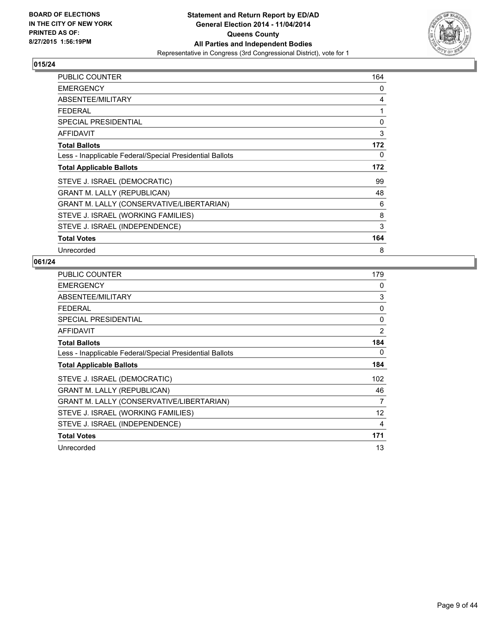

| PUBLIC COUNTER                                           | 164 |
|----------------------------------------------------------|-----|
| <b>EMERGENCY</b>                                         | 0   |
| ABSENTEE/MILITARY                                        | 4   |
| <b>FEDERAL</b>                                           | 1   |
| <b>SPECIAL PRESIDENTIAL</b>                              | 0   |
| AFFIDAVIT                                                | 3   |
| <b>Total Ballots</b>                                     | 172 |
| Less - Inapplicable Federal/Special Presidential Ballots | 0   |
| <b>Total Applicable Ballots</b>                          | 172 |
| STEVE J. ISRAEL (DEMOCRATIC)                             | 99  |
| <b>GRANT M. LALLY (REPUBLICAN)</b>                       | 48  |
| GRANT M. LALLY (CONSERVATIVE/LIBERTARIAN)                | 6   |
| STEVE J. ISRAEL (WORKING FAMILIES)                       | 8   |
| STEVE J. ISRAEL (INDEPENDENCE)                           | 3   |
| <b>Total Votes</b>                                       | 164 |
| Unrecorded                                               | 8   |

| PUBLIC COUNTER                                           | 179 |
|----------------------------------------------------------|-----|
| <b>EMERGENCY</b>                                         | 0   |
| ABSENTEE/MILITARY                                        | 3   |
| <b>FEDERAL</b>                                           | 0   |
| <b>SPECIAL PRESIDENTIAL</b>                              | 0   |
| <b>AFFIDAVIT</b>                                         | 2   |
| <b>Total Ballots</b>                                     | 184 |
| Less - Inapplicable Federal/Special Presidential Ballots | 0   |
| <b>Total Applicable Ballots</b>                          | 184 |
| STEVE J. ISRAEL (DEMOCRATIC)                             | 102 |
| <b>GRANT M. LALLY (REPUBLICAN)</b>                       | 46  |
| GRANT M. LALLY (CONSERVATIVE/LIBERTARIAN)                | 7   |
| STEVE J. ISRAEL (WORKING FAMILIES)                       | 12  |
| STEVE J. ISRAEL (INDEPENDENCE)                           | 4   |
| <b>Total Votes</b>                                       | 171 |
| Unrecorded                                               | 13  |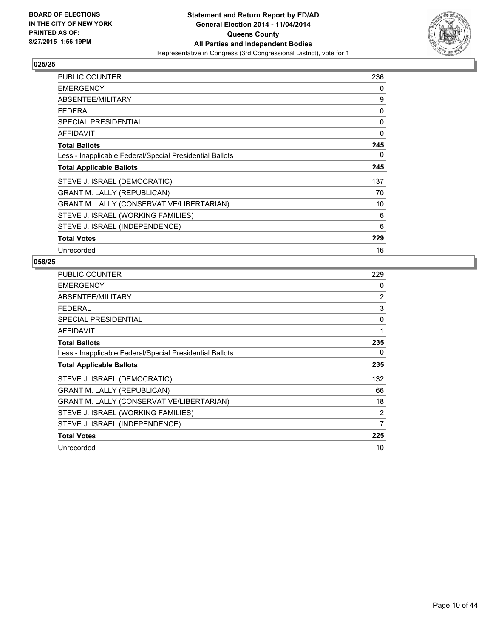

| <b>PUBLIC COUNTER</b>                                    | 236 |
|----------------------------------------------------------|-----|
| <b>EMERGENCY</b>                                         | 0   |
| ABSENTEE/MILITARY                                        | 9   |
| <b>FEDERAL</b>                                           | 0   |
| <b>SPECIAL PRESIDENTIAL</b>                              | 0   |
| AFFIDAVIT                                                | 0   |
| <b>Total Ballots</b>                                     | 245 |
| Less - Inapplicable Federal/Special Presidential Ballots | 0   |
| <b>Total Applicable Ballots</b>                          | 245 |
| STEVE J. ISRAEL (DEMOCRATIC)                             | 137 |
| <b>GRANT M. LALLY (REPUBLICAN)</b>                       | 70  |
| GRANT M. LALLY (CONSERVATIVE/LIBERTARIAN)                | 10  |
| STEVE J. ISRAEL (WORKING FAMILIES)                       | 6   |
| STEVE J. ISRAEL (INDEPENDENCE)                           | 6   |
| <b>Total Votes</b>                                       | 229 |
| Unrecorded                                               | 16  |

| PUBLIC COUNTER                                           | 229            |
|----------------------------------------------------------|----------------|
| <b>EMERGENCY</b>                                         | 0              |
| ABSENTEE/MILITARY                                        | 2              |
| <b>FEDERAL</b>                                           | 3              |
| <b>SPECIAL PRESIDENTIAL</b>                              | 0              |
| <b>AFFIDAVIT</b>                                         | 1              |
| <b>Total Ballots</b>                                     | 235            |
| Less - Inapplicable Federal/Special Presidential Ballots | 0              |
| <b>Total Applicable Ballots</b>                          | 235            |
| STEVE J. ISRAEL (DEMOCRATIC)                             | 132            |
| <b>GRANT M. LALLY (REPUBLICAN)</b>                       | 66             |
| GRANT M. LALLY (CONSERVATIVE/LIBERTARIAN)                | 18             |
| STEVE J. ISRAEL (WORKING FAMILIES)                       | $\overline{2}$ |
| STEVE J. ISRAEL (INDEPENDENCE)                           | 7              |
| <b>Total Votes</b>                                       | 225            |
| Unrecorded                                               | 10             |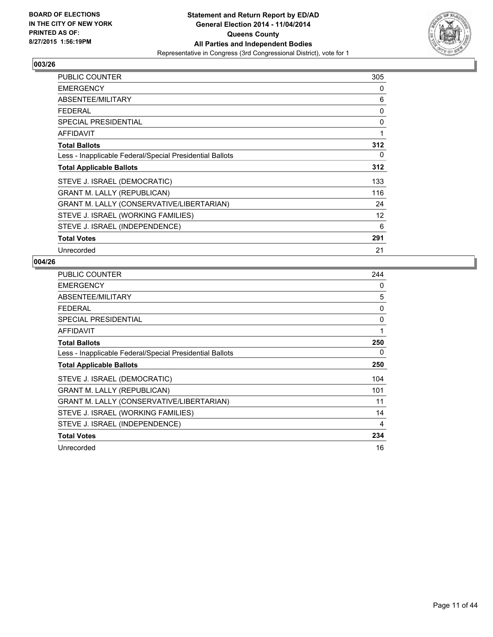

| <b>PUBLIC COUNTER</b>                                    | 305 |
|----------------------------------------------------------|-----|
| <b>EMERGENCY</b>                                         | 0   |
| ABSENTEE/MILITARY                                        | 6   |
| <b>FEDERAL</b>                                           | 0   |
| <b>SPECIAL PRESIDENTIAL</b>                              | 0   |
| AFFIDAVIT                                                | 1   |
| <b>Total Ballots</b>                                     | 312 |
| Less - Inapplicable Federal/Special Presidential Ballots | 0   |
| <b>Total Applicable Ballots</b>                          | 312 |
| STEVE J. ISRAEL (DEMOCRATIC)                             | 133 |
| <b>GRANT M. LALLY (REPUBLICAN)</b>                       | 116 |
| GRANT M. LALLY (CONSERVATIVE/LIBERTARIAN)                | 24  |
| STEVE J. ISRAEL (WORKING FAMILIES)                       | 12  |
| STEVE J. ISRAEL (INDEPENDENCE)                           | 6   |
| <b>Total Votes</b>                                       | 291 |
| Unrecorded                                               | 21  |

| <b>PUBLIC COUNTER</b>                                    | 244 |
|----------------------------------------------------------|-----|
| <b>EMERGENCY</b>                                         | 0   |
| ABSENTEE/MILITARY                                        | 5   |
| <b>FEDERAL</b>                                           | 0   |
| <b>SPECIAL PRESIDENTIAL</b>                              | 0   |
| AFFIDAVIT                                                | 1   |
| <b>Total Ballots</b>                                     | 250 |
| Less - Inapplicable Federal/Special Presidential Ballots | 0   |
| <b>Total Applicable Ballots</b>                          | 250 |
| STEVE J. ISRAEL (DEMOCRATIC)                             | 104 |
| <b>GRANT M. LALLY (REPUBLICAN)</b>                       | 101 |
| GRANT M. LALLY (CONSERVATIVE/LIBERTARIAN)                | 11  |
| STEVE J. ISRAEL (WORKING FAMILIES)                       | 14  |
| STEVE J. ISRAEL (INDEPENDENCE)                           | 4   |
| <b>Total Votes</b>                                       | 234 |
| Unrecorded                                               | 16  |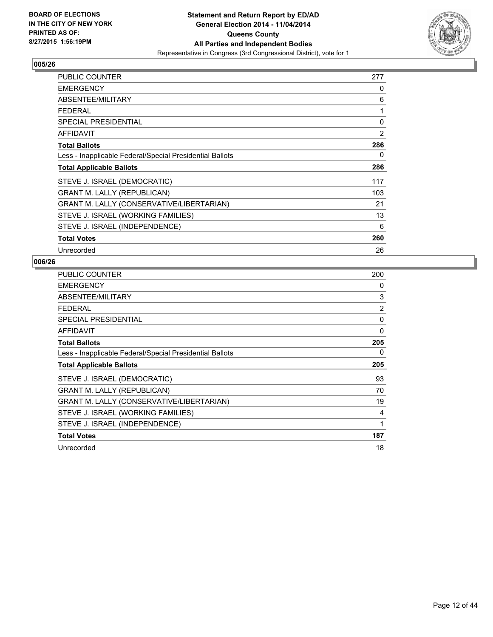

| <b>PUBLIC COUNTER</b>                                    | 277            |
|----------------------------------------------------------|----------------|
| <b>EMERGENCY</b>                                         | 0              |
| ABSENTEE/MILITARY                                        | 6              |
| <b>FEDERAL</b>                                           | 1              |
| <b>SPECIAL PRESIDENTIAL</b>                              | 0              |
| AFFIDAVIT                                                | $\overline{2}$ |
| <b>Total Ballots</b>                                     | 286            |
| Less - Inapplicable Federal/Special Presidential Ballots | 0              |
| <b>Total Applicable Ballots</b>                          | 286            |
| STEVE J. ISRAEL (DEMOCRATIC)                             | 117            |
| <b>GRANT M. LALLY (REPUBLICAN)</b>                       | 103            |
| GRANT M. LALLY (CONSERVATIVE/LIBERTARIAN)                | 21             |
| STEVE J. ISRAEL (WORKING FAMILIES)                       | 13             |
| STEVE J. ISRAEL (INDEPENDENCE)                           | 6              |
| <b>Total Votes</b>                                       | 260            |
| Unrecorded                                               | 26             |

| <b>PUBLIC COUNTER</b>                                    | 200            |
|----------------------------------------------------------|----------------|
| <b>EMERGENCY</b>                                         | 0              |
| ABSENTEE/MILITARY                                        | 3              |
| <b>FEDERAL</b>                                           | $\overline{2}$ |
| <b>SPECIAL PRESIDENTIAL</b>                              | 0              |
| <b>AFFIDAVIT</b>                                         | 0              |
| <b>Total Ballots</b>                                     | 205            |
| Less - Inapplicable Federal/Special Presidential Ballots | 0              |
| <b>Total Applicable Ballots</b>                          | 205            |
| STEVE J. ISRAEL (DEMOCRATIC)                             | 93             |
| <b>GRANT M. LALLY (REPUBLICAN)</b>                       | 70             |
| GRANT M. LALLY (CONSERVATIVE/LIBERTARIAN)                | 19             |
| STEVE J. ISRAEL (WORKING FAMILIES)                       | 4              |
| STEVE J. ISRAEL (INDEPENDENCE)                           | $\mathbf{1}$   |
| <b>Total Votes</b>                                       | 187            |
| Unrecorded                                               | 18             |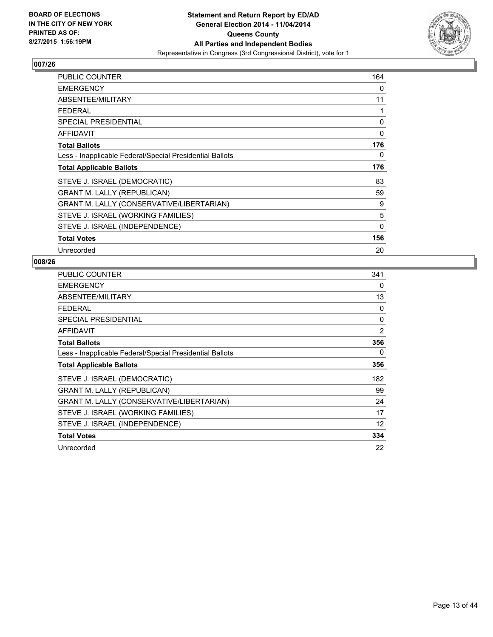

| <b>PUBLIC COUNTER</b>                                    | 164 |
|----------------------------------------------------------|-----|
| <b>EMERGENCY</b>                                         | 0   |
| ABSENTEE/MILITARY                                        | 11  |
| <b>FEDERAL</b>                                           | 1   |
| <b>SPECIAL PRESIDENTIAL</b>                              | 0   |
| AFFIDAVIT                                                | 0   |
| <b>Total Ballots</b>                                     | 176 |
| Less - Inapplicable Federal/Special Presidential Ballots | 0   |
| <b>Total Applicable Ballots</b>                          | 176 |
| STEVE J. ISRAEL (DEMOCRATIC)                             | 83  |
| <b>GRANT M. LALLY (REPUBLICAN)</b>                       | 59  |
| GRANT M. LALLY (CONSERVATIVE/LIBERTARIAN)                | 9   |
| STEVE J. ISRAEL (WORKING FAMILIES)                       | 5   |
| STEVE J. ISRAEL (INDEPENDENCE)                           | 0   |
| <b>Total Votes</b>                                       | 156 |
| Unrecorded                                               | 20  |

| <b>PUBLIC COUNTER</b>                                    | 341 |
|----------------------------------------------------------|-----|
| <b>EMERGENCY</b>                                         | 0   |
| ABSENTEE/MILITARY                                        | 13  |
| <b>FEDERAL</b>                                           | 0   |
| <b>SPECIAL PRESIDENTIAL</b>                              | 0   |
| <b>AFFIDAVIT</b>                                         | 2   |
| <b>Total Ballots</b>                                     | 356 |
| Less - Inapplicable Federal/Special Presidential Ballots | 0   |
| <b>Total Applicable Ballots</b>                          | 356 |
| STEVE J. ISRAEL (DEMOCRATIC)                             | 182 |
| <b>GRANT M. LALLY (REPUBLICAN)</b>                       | 99  |
| GRANT M. LALLY (CONSERVATIVE/LIBERTARIAN)                | 24  |
| STEVE J. ISRAEL (WORKING FAMILIES)                       | 17  |
| STEVE J. ISRAEL (INDEPENDENCE)                           | 12  |
| <b>Total Votes</b>                                       | 334 |
| Unrecorded                                               | 22  |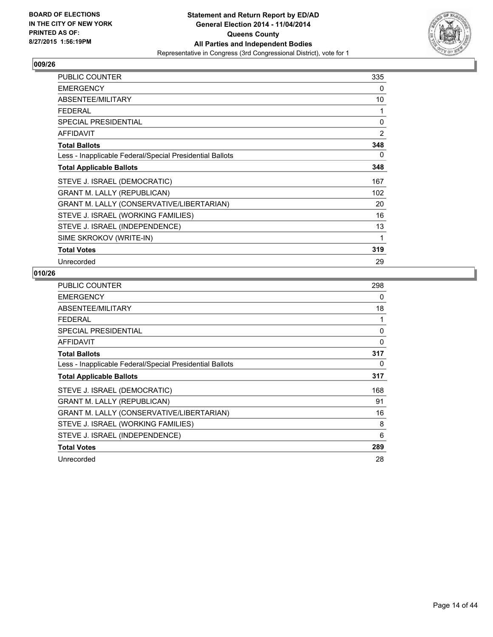

| PUBLIC COUNTER                                           | 335            |
|----------------------------------------------------------|----------------|
| <b>EMERGENCY</b>                                         | 0              |
| ABSENTEE/MILITARY                                        | 10             |
| <b>FEDERAL</b>                                           | 1              |
| <b>SPECIAL PRESIDENTIAL</b>                              | 0              |
| <b>AFFIDAVIT</b>                                         | $\overline{2}$ |
| <b>Total Ballots</b>                                     | 348            |
| Less - Inapplicable Federal/Special Presidential Ballots | 0              |
| <b>Total Applicable Ballots</b>                          | 348            |
| STEVE J. ISRAEL (DEMOCRATIC)                             | 167            |
| <b>GRANT M. LALLY (REPUBLICAN)</b>                       | 102            |
| GRANT M. LALLY (CONSERVATIVE/LIBERTARIAN)                | 20             |
| STEVE J. ISRAEL (WORKING FAMILIES)                       | 16             |
| STEVE J. ISRAEL (INDEPENDENCE)                           | 13             |
| SIME SKROKOV (WRITE-IN)                                  | 1              |
| <b>Total Votes</b>                                       | 319            |
| Unrecorded                                               | 29             |

| <b>PUBLIC COUNTER</b>                                    | 298          |
|----------------------------------------------------------|--------------|
| <b>EMERGENCY</b>                                         | 0            |
| ABSENTEE/MILITARY                                        | 18           |
| <b>FEDERAL</b>                                           | 1            |
| <b>SPECIAL PRESIDENTIAL</b>                              | 0            |
| <b>AFFIDAVIT</b>                                         | $\mathbf{0}$ |
| <b>Total Ballots</b>                                     | 317          |
| Less - Inapplicable Federal/Special Presidential Ballots | 0            |
| <b>Total Applicable Ballots</b>                          | 317          |
| STEVE J. ISRAEL (DEMOCRATIC)                             | 168          |
| <b>GRANT M. LALLY (REPUBLICAN)</b>                       | 91           |
| <b>GRANT M. LALLY (CONSERVATIVE/LIBERTARIAN)</b>         | 16           |
| STEVE J. ISRAEL (WORKING FAMILIES)                       | 8            |
| STEVE J. ISRAEL (INDEPENDENCE)                           | 6            |
| <b>Total Votes</b>                                       | 289          |
| Unrecorded                                               | 28           |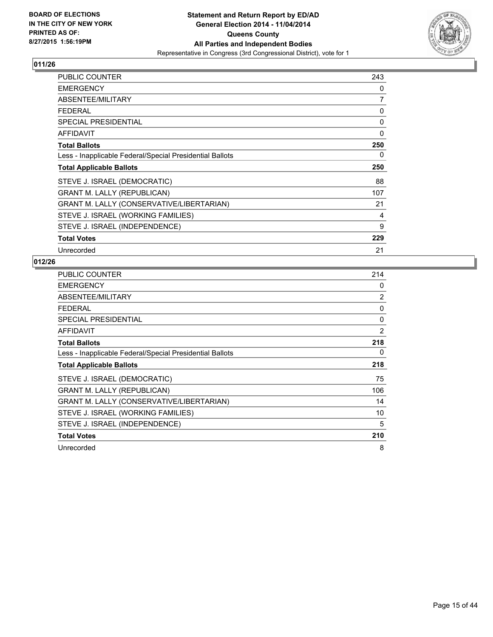

| <b>PUBLIC COUNTER</b>                                    | 243 |
|----------------------------------------------------------|-----|
| <b>EMERGENCY</b>                                         | 0   |
| ABSENTEE/MILITARY                                        | 7   |
| <b>FEDERAL</b>                                           | 0   |
| <b>SPECIAL PRESIDENTIAL</b>                              | 0   |
| <b>AFFIDAVIT</b>                                         | 0   |
| <b>Total Ballots</b>                                     | 250 |
| Less - Inapplicable Federal/Special Presidential Ballots | 0   |
| <b>Total Applicable Ballots</b>                          | 250 |
| STEVE J. ISRAEL (DEMOCRATIC)                             | 88  |
| <b>GRANT M. LALLY (REPUBLICAN)</b>                       | 107 |
| <b>GRANT M. LALLY (CONSERVATIVE/LIBERTARIAN)</b>         | 21  |
| STEVE J. ISRAEL (WORKING FAMILIES)                       | 4   |
| STEVE J. ISRAEL (INDEPENDENCE)                           | 9   |
| <b>Total Votes</b>                                       | 229 |
| Unrecorded                                               | 21  |

| PUBLIC COUNTER                                           | 214            |
|----------------------------------------------------------|----------------|
| <b>EMERGENCY</b>                                         | 0              |
| ABSENTEE/MILITARY                                        | $\overline{2}$ |
| <b>FEDERAL</b>                                           | 0              |
| <b>SPECIAL PRESIDENTIAL</b>                              | 0              |
| <b>AFFIDAVIT</b>                                         | 2              |
| <b>Total Ballots</b>                                     | 218            |
| Less - Inapplicable Federal/Special Presidential Ballots | 0              |
| <b>Total Applicable Ballots</b>                          | 218            |
| STEVE J. ISRAEL (DEMOCRATIC)                             | 75             |
| <b>GRANT M. LALLY (REPUBLICAN)</b>                       | 106            |
| GRANT M. LALLY (CONSERVATIVE/LIBERTARIAN)                | 14             |
| STEVE J. ISRAEL (WORKING FAMILIES)                       | 10             |
| STEVE J. ISRAEL (INDEPENDENCE)                           | 5              |
| <b>Total Votes</b>                                       | 210            |
| Unrecorded                                               | 8              |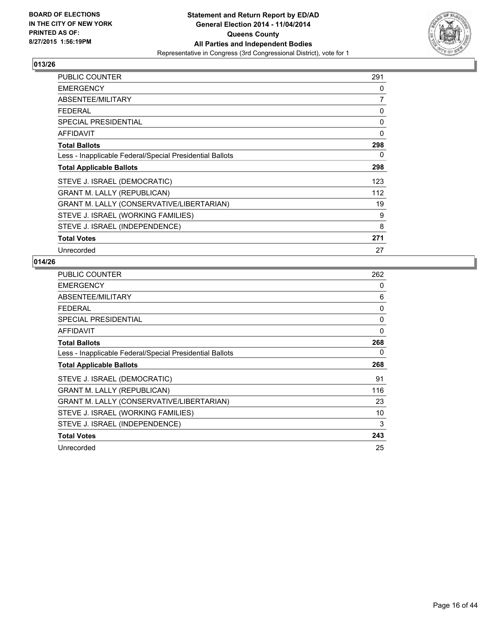

| <b>PUBLIC COUNTER</b>                                    | 291 |
|----------------------------------------------------------|-----|
| <b>EMERGENCY</b>                                         | 0   |
| ABSENTEE/MILITARY                                        | 7   |
| <b>FEDERAL</b>                                           | 0   |
| <b>SPECIAL PRESIDENTIAL</b>                              | 0   |
| <b>AFFIDAVIT</b>                                         | 0   |
| <b>Total Ballots</b>                                     | 298 |
| Less - Inapplicable Federal/Special Presidential Ballots | 0   |
| <b>Total Applicable Ballots</b>                          | 298 |
| STEVE J. ISRAEL (DEMOCRATIC)                             | 123 |
| <b>GRANT M. LALLY (REPUBLICAN)</b>                       | 112 |
| GRANT M. LALLY (CONSERVATIVE/LIBERTARIAN)                | 19  |
| STEVE J. ISRAEL (WORKING FAMILIES)                       | 9   |
| STEVE J. ISRAEL (INDEPENDENCE)                           | 8   |
| <b>Total Votes</b>                                       | 271 |
| Unrecorded                                               | 27  |

| <b>PUBLIC COUNTER</b>                                    | 262 |
|----------------------------------------------------------|-----|
| <b>EMERGENCY</b>                                         | 0   |
| ABSENTEE/MILITARY                                        | 6   |
| <b>FEDERAL</b>                                           | 0   |
| <b>SPECIAL PRESIDENTIAL</b>                              | 0   |
| <b>AFFIDAVIT</b>                                         | 0   |
| <b>Total Ballots</b>                                     | 268 |
| Less - Inapplicable Federal/Special Presidential Ballots | 0   |
| <b>Total Applicable Ballots</b>                          | 268 |
| STEVE J. ISRAEL (DEMOCRATIC)                             | 91  |
| <b>GRANT M. LALLY (REPUBLICAN)</b>                       | 116 |
| GRANT M. LALLY (CONSERVATIVE/LIBERTARIAN)                | 23  |
| STEVE J. ISRAEL (WORKING FAMILIES)                       | 10  |
| STEVE J. ISRAEL (INDEPENDENCE)                           | 3   |
| <b>Total Votes</b>                                       | 243 |
| Unrecorded                                               | 25  |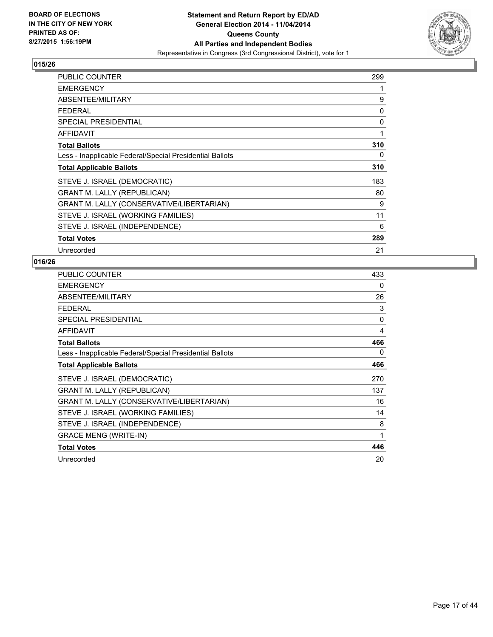

| PUBLIC COUNTER                                           | 299 |
|----------------------------------------------------------|-----|
| <b>EMERGENCY</b>                                         | 1   |
| ABSENTEE/MILITARY                                        | 9   |
| <b>FEDERAL</b>                                           | 0   |
| <b>SPECIAL PRESIDENTIAL</b>                              | 0   |
| AFFIDAVIT                                                | 1   |
| <b>Total Ballots</b>                                     | 310 |
| Less - Inapplicable Federal/Special Presidential Ballots | 0   |
| <b>Total Applicable Ballots</b>                          | 310 |
| STEVE J. ISRAEL (DEMOCRATIC)                             | 183 |
| <b>GRANT M. LALLY (REPUBLICAN)</b>                       | 80  |
| GRANT M. LALLY (CONSERVATIVE/LIBERTARIAN)                | 9   |
| STEVE J. ISRAEL (WORKING FAMILIES)                       | 11  |
| STEVE J. ISRAEL (INDEPENDENCE)                           | 6   |
| <b>Total Votes</b>                                       | 289 |
| Unrecorded                                               | 21  |

| <b>PUBLIC COUNTER</b>                                    | 433      |
|----------------------------------------------------------|----------|
| <b>EMERGENCY</b>                                         | 0        |
| ABSENTEE/MILITARY                                        | 26       |
| <b>FEDERAL</b>                                           | 3        |
| <b>SPECIAL PRESIDENTIAL</b>                              | $\Omega$ |
| <b>AFFIDAVIT</b>                                         | 4        |
| <b>Total Ballots</b>                                     | 466      |
| Less - Inapplicable Federal/Special Presidential Ballots | 0        |
| <b>Total Applicable Ballots</b>                          | 466      |
| STEVE J. ISRAEL (DEMOCRATIC)                             | 270      |
| <b>GRANT M. LALLY (REPUBLICAN)</b>                       | 137      |
| GRANT M. LALLY (CONSERVATIVE/LIBERTARIAN)                | 16       |
| STEVE J. ISRAEL (WORKING FAMILIES)                       | 14       |
| STEVE J. ISRAEL (INDEPENDENCE)                           | 8        |
| <b>GRACE MENG (WRITE-IN)</b>                             | 1        |
| <b>Total Votes</b>                                       | 446      |
| Unrecorded                                               | 20       |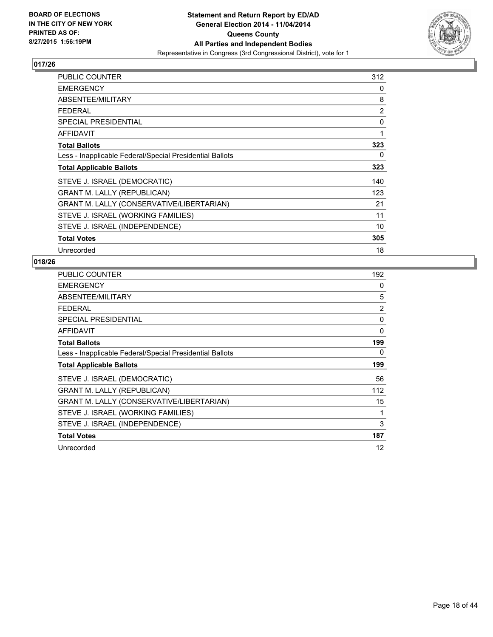

| <b>PUBLIC COUNTER</b>                                    | 312            |
|----------------------------------------------------------|----------------|
| <b>EMERGENCY</b>                                         | 0              |
| ABSENTEE/MILITARY                                        | 8              |
| <b>FEDERAL</b>                                           | $\overline{2}$ |
| <b>SPECIAL PRESIDENTIAL</b>                              | 0              |
| AFFIDAVIT                                                | 1              |
| <b>Total Ballots</b>                                     | 323            |
| Less - Inapplicable Federal/Special Presidential Ballots | 0              |
| <b>Total Applicable Ballots</b>                          | 323            |
| STEVE J. ISRAEL (DEMOCRATIC)                             | 140            |
| <b>GRANT M. LALLY (REPUBLICAN)</b>                       | 123            |
| GRANT M. LALLY (CONSERVATIVE/LIBERTARIAN)                | 21             |
| STEVE J. ISRAEL (WORKING FAMILIES)                       | 11             |
| STEVE J. ISRAEL (INDEPENDENCE)                           | 10             |
| <b>Total Votes</b>                                       | 305            |
| Unrecorded                                               | 18             |

| PUBLIC COUNTER                                           | 192            |
|----------------------------------------------------------|----------------|
| <b>EMERGENCY</b>                                         | 0              |
| ABSENTEE/MILITARY                                        | 5              |
| <b>FEDERAL</b>                                           | $\overline{2}$ |
| <b>SPECIAL PRESIDENTIAL</b>                              | 0              |
| <b>AFFIDAVIT</b>                                         | 0              |
| <b>Total Ballots</b>                                     | 199            |
| Less - Inapplicable Federal/Special Presidential Ballots | 0              |
| <b>Total Applicable Ballots</b>                          | 199            |
| STEVE J. ISRAEL (DEMOCRATIC)                             | 56             |
| <b>GRANT M. LALLY (REPUBLICAN)</b>                       | 112            |
| GRANT M. LALLY (CONSERVATIVE/LIBERTARIAN)                | 15             |
| STEVE J. ISRAEL (WORKING FAMILIES)                       | 1              |
| STEVE J. ISRAEL (INDEPENDENCE)                           | 3              |
| <b>Total Votes</b>                                       | 187            |
| Unrecorded                                               | 12             |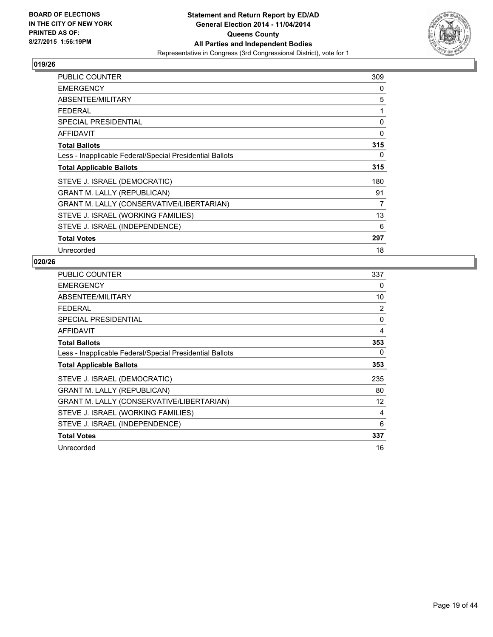

| PUBLIC COUNTER                                           | 309 |
|----------------------------------------------------------|-----|
| <b>EMERGENCY</b>                                         | 0   |
| ABSENTEE/MILITARY                                        | 5   |
| <b>FEDERAL</b>                                           | 1   |
| <b>SPECIAL PRESIDENTIAL</b>                              | 0   |
| AFFIDAVIT                                                | 0   |
| <b>Total Ballots</b>                                     | 315 |
| Less - Inapplicable Federal/Special Presidential Ballots | 0   |
| <b>Total Applicable Ballots</b>                          | 315 |
| STEVE J. ISRAEL (DEMOCRATIC)                             | 180 |
| <b>GRANT M. LALLY (REPUBLICAN)</b>                       | 91  |
| GRANT M. LALLY (CONSERVATIVE/LIBERTARIAN)                | 7   |
| STEVE J. ISRAEL (WORKING FAMILIES)                       | 13  |
| STEVE J. ISRAEL (INDEPENDENCE)                           | 6   |
| <b>Total Votes</b>                                       | 297 |
| Unrecorded                                               | 18  |

| PUBLIC COUNTER                                           | 337 |
|----------------------------------------------------------|-----|
| <b>EMERGENCY</b>                                         | 0   |
| ABSENTEE/MILITARY                                        | 10  |
| <b>FEDERAL</b>                                           | 2   |
| <b>SPECIAL PRESIDENTIAL</b>                              | 0   |
| <b>AFFIDAVIT</b>                                         | 4   |
| <b>Total Ballots</b>                                     | 353 |
| Less - Inapplicable Federal/Special Presidential Ballots | 0   |
| <b>Total Applicable Ballots</b>                          | 353 |
| STEVE J. ISRAEL (DEMOCRATIC)                             | 235 |
| <b>GRANT M. LALLY (REPUBLICAN)</b>                       | 80  |
| GRANT M. LALLY (CONSERVATIVE/LIBERTARIAN)                | 12  |
| STEVE J. ISRAEL (WORKING FAMILIES)                       | 4   |
| STEVE J. ISRAEL (INDEPENDENCE)                           | 6   |
| <b>Total Votes</b>                                       | 337 |
| Unrecorded                                               | 16  |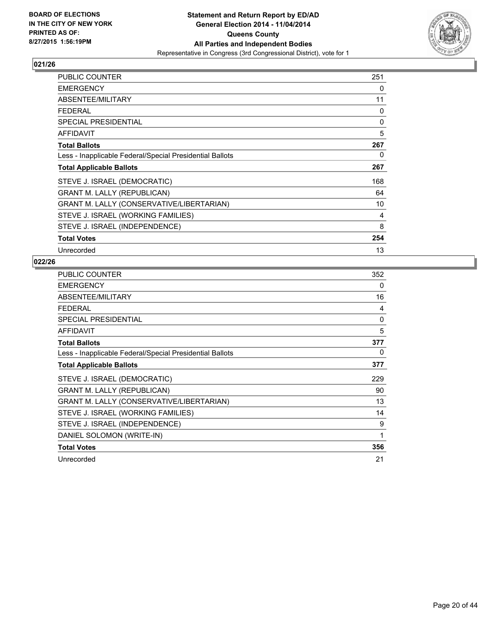

| <b>PUBLIC COUNTER</b>                                    | 251 |
|----------------------------------------------------------|-----|
| <b>EMERGENCY</b>                                         | 0   |
| ABSENTEE/MILITARY                                        | 11  |
| <b>FEDERAL</b>                                           | 0   |
| <b>SPECIAL PRESIDENTIAL</b>                              | 0   |
| AFFIDAVIT                                                | 5   |
| <b>Total Ballots</b>                                     | 267 |
| Less - Inapplicable Federal/Special Presidential Ballots | 0   |
| <b>Total Applicable Ballots</b>                          | 267 |
| STEVE J. ISRAEL (DEMOCRATIC)                             | 168 |
| <b>GRANT M. LALLY (REPUBLICAN)</b>                       | 64  |
| GRANT M. LALLY (CONSERVATIVE/LIBERTARIAN)                | 10  |
| STEVE J. ISRAEL (WORKING FAMILIES)                       | 4   |
| STEVE J. ISRAEL (INDEPENDENCE)                           | 8   |
| <b>Total Votes</b>                                       | 254 |
| Unrecorded                                               | 13  |

| <b>PUBLIC COUNTER</b>                                    | 352 |
|----------------------------------------------------------|-----|
| <b>EMERGENCY</b>                                         | 0   |
| ABSENTEE/MILITARY                                        | 16  |
| <b>FEDERAL</b>                                           | 4   |
| <b>SPECIAL PRESIDENTIAL</b>                              | 0   |
| <b>AFFIDAVIT</b>                                         | 5   |
| <b>Total Ballots</b>                                     | 377 |
| Less - Inapplicable Federal/Special Presidential Ballots | 0   |
| <b>Total Applicable Ballots</b>                          | 377 |
| STEVE J. ISRAEL (DEMOCRATIC)                             | 229 |
| <b>GRANT M. LALLY (REPUBLICAN)</b>                       | 90  |
| GRANT M. LALLY (CONSERVATIVE/LIBERTARIAN)                | 13  |
| STEVE J. ISRAEL (WORKING FAMILIES)                       | 14  |
| STEVE J. ISRAEL (INDEPENDENCE)                           | 9   |
| DANIEL SOLOMON (WRITE-IN)                                | 1   |
| <b>Total Votes</b>                                       | 356 |
| Unrecorded                                               | 21  |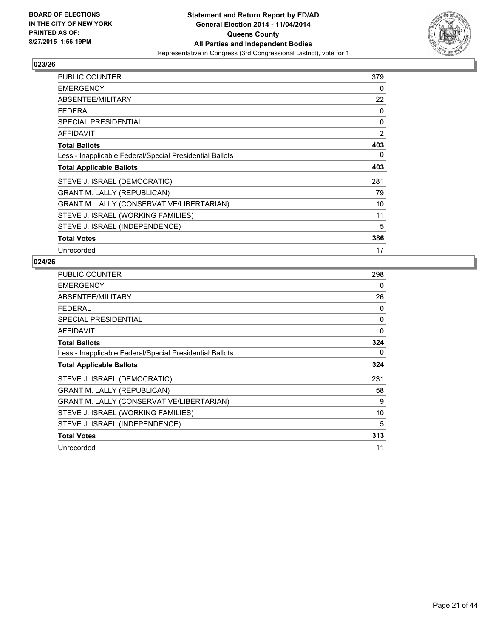

| <b>PUBLIC COUNTER</b>                                    | 379            |
|----------------------------------------------------------|----------------|
| <b>EMERGENCY</b>                                         | 0              |
| ABSENTEE/MILITARY                                        | 22             |
| <b>FEDERAL</b>                                           | 0              |
| <b>SPECIAL PRESIDENTIAL</b>                              | 0              |
| AFFIDAVIT                                                | $\overline{2}$ |
| <b>Total Ballots</b>                                     | 403            |
| Less - Inapplicable Federal/Special Presidential Ballots | 0              |
| <b>Total Applicable Ballots</b>                          | 403            |
| STEVE J. ISRAEL (DEMOCRATIC)                             | 281            |
| <b>GRANT M. LALLY (REPUBLICAN)</b>                       | 79             |
| GRANT M. LALLY (CONSERVATIVE/LIBERTARIAN)                | 10             |
| STEVE J. ISRAEL (WORKING FAMILIES)                       | 11             |
| STEVE J. ISRAEL (INDEPENDENCE)                           | 5              |
| <b>Total Votes</b>                                       | 386            |
| Unrecorded                                               | 17             |

| <b>PUBLIC COUNTER</b>                                    | 298 |
|----------------------------------------------------------|-----|
| <b>EMERGENCY</b>                                         | 0   |
| ABSENTEE/MILITARY                                        | 26  |
| <b>FEDERAL</b>                                           | 0   |
| <b>SPECIAL PRESIDENTIAL</b>                              | 0   |
| <b>AFFIDAVIT</b>                                         | 0   |
| <b>Total Ballots</b>                                     | 324 |
| Less - Inapplicable Federal/Special Presidential Ballots | 0   |
| <b>Total Applicable Ballots</b>                          | 324 |
| STEVE J. ISRAEL (DEMOCRATIC)                             | 231 |
| <b>GRANT M. LALLY (REPUBLICAN)</b>                       | 58  |
| GRANT M. LALLY (CONSERVATIVE/LIBERTARIAN)                | 9   |
| STEVE J. ISRAEL (WORKING FAMILIES)                       | 10  |
| STEVE J. ISRAEL (INDEPENDENCE)                           | 5   |
| <b>Total Votes</b>                                       | 313 |
| Unrecorded                                               | 11  |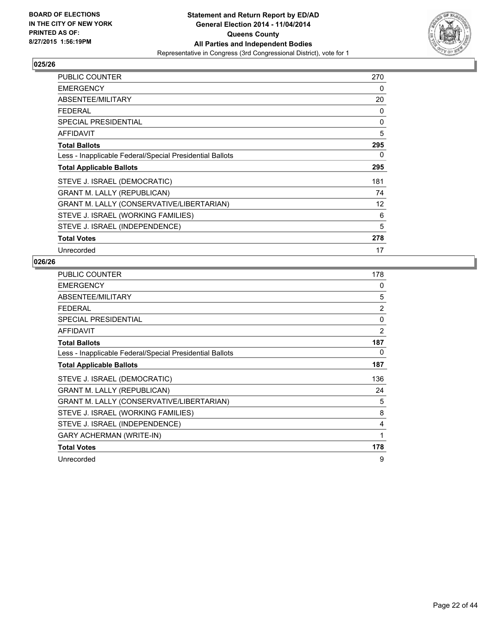

| PUBLIC COUNTER                                           | 270               |
|----------------------------------------------------------|-------------------|
| <b>EMERGENCY</b>                                         | 0                 |
| ABSENTEE/MILITARY                                        | 20                |
| <b>FEDERAL</b>                                           | 0                 |
| <b>SPECIAL PRESIDENTIAL</b>                              | 0                 |
| <b>AFFIDAVIT</b>                                         | 5                 |
| <b>Total Ballots</b>                                     | 295               |
| Less - Inapplicable Federal/Special Presidential Ballots | 0                 |
| <b>Total Applicable Ballots</b>                          | 295               |
| STEVE J. ISRAEL (DEMOCRATIC)                             | 181               |
| <b>GRANT M. LALLY (REPUBLICAN)</b>                       | 74                |
| GRANT M. LALLY (CONSERVATIVE/LIBERTARIAN)                | $12 \overline{ }$ |
| STEVE J. ISRAEL (WORKING FAMILIES)                       | 6                 |
| STEVE J. ISRAEL (INDEPENDENCE)                           | 5                 |
| <b>Total Votes</b>                                       | 278               |
| Unrecorded                                               | 17                |

| PUBLIC COUNTER                                           | 178            |
|----------------------------------------------------------|----------------|
| <b>EMERGENCY</b>                                         | 0              |
| ABSENTEE/MILITARY                                        | 5              |
| <b>FEDERAL</b>                                           | 2              |
| <b>SPECIAL PRESIDENTIAL</b>                              | $\mathbf{0}$   |
| <b>AFFIDAVIT</b>                                         | $\overline{2}$ |
| <b>Total Ballots</b>                                     | 187            |
| Less - Inapplicable Federal/Special Presidential Ballots | 0              |
| <b>Total Applicable Ballots</b>                          | 187            |
| STEVE J. ISRAEL (DEMOCRATIC)                             | 136            |
| <b>GRANT M. LALLY (REPUBLICAN)</b>                       | 24             |
| GRANT M. LALLY (CONSERVATIVE/LIBERTARIAN)                | 5              |
| STEVE J. ISRAEL (WORKING FAMILIES)                       | 8              |
| STEVE J. ISRAEL (INDEPENDENCE)                           | 4              |
| <b>GARY ACHERMAN (WRITE-IN)</b>                          | 1              |
| <b>Total Votes</b>                                       | 178            |
| Unrecorded                                               | 9              |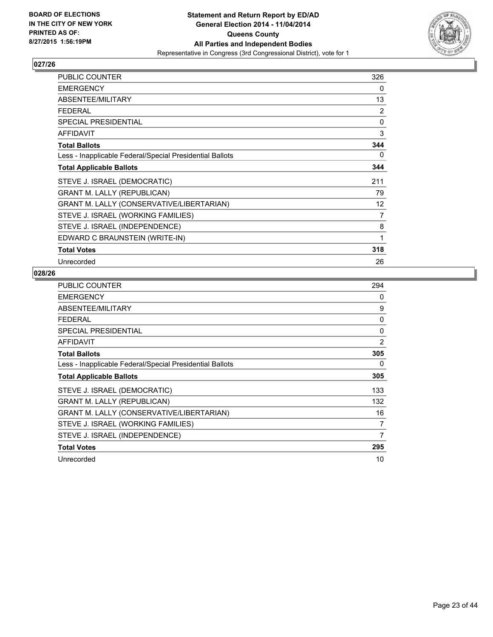

| PUBLIC COUNTER                                           | 326          |
|----------------------------------------------------------|--------------|
| <b>EMERGENCY</b>                                         | 0            |
| ABSENTEE/MILITARY                                        | 13           |
| <b>FEDERAL</b>                                           | 2            |
| <b>SPECIAL PRESIDENTIAL</b>                              | $\mathbf{0}$ |
| AFFIDAVIT                                                | 3            |
| <b>Total Ballots</b>                                     | 344          |
| Less - Inapplicable Federal/Special Presidential Ballots | 0            |
| <b>Total Applicable Ballots</b>                          | 344          |
| STEVE J. ISRAEL (DEMOCRATIC)                             | 211          |
| <b>GRANT M. LALLY (REPUBLICAN)</b>                       | 79           |
| GRANT M. LALLY (CONSERVATIVE/LIBERTARIAN)                | 12           |
| STEVE J. ISRAEL (WORKING FAMILIES)                       | 7            |
| STEVE J. ISRAEL (INDEPENDENCE)                           | 8            |
| EDWARD C BRAUNSTEIN (WRITE-IN)                           | 1            |
| <b>Total Votes</b>                                       | 318          |
| Unrecorded                                               | 26           |

| <b>PUBLIC COUNTER</b>                                    | 294          |
|----------------------------------------------------------|--------------|
| <b>EMERGENCY</b>                                         | 0            |
| ABSENTEE/MILITARY                                        | 9            |
| <b>FEDERAL</b>                                           | 0            |
| <b>SPECIAL PRESIDENTIAL</b>                              | $\mathbf{0}$ |
| <b>AFFIDAVIT</b>                                         | 2            |
| <b>Total Ballots</b>                                     | 305          |
| Less - Inapplicable Federal/Special Presidential Ballots | 0            |
| <b>Total Applicable Ballots</b>                          | 305          |
| STEVE J. ISRAEL (DEMOCRATIC)                             | 133          |
| <b>GRANT M. LALLY (REPUBLICAN)</b>                       | 132          |
| <b>GRANT M. LALLY (CONSERVATIVE/LIBERTARIAN)</b>         | 16           |
| STEVE J. ISRAEL (WORKING FAMILIES)                       | 7            |
| STEVE J. ISRAEL (INDEPENDENCE)                           | 7            |
| <b>Total Votes</b>                                       | 295          |
| Unrecorded                                               | 10           |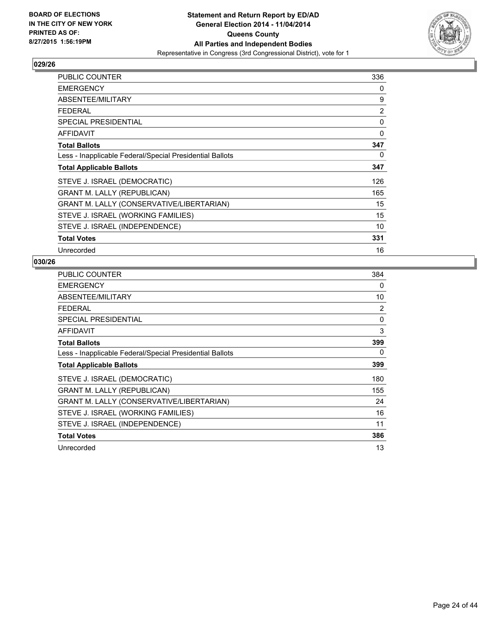

| PUBLIC COUNTER                                           | 336            |
|----------------------------------------------------------|----------------|
| <b>EMERGENCY</b>                                         | 0              |
| ABSENTEE/MILITARY                                        | 9              |
| <b>FEDERAL</b>                                           | $\overline{2}$ |
| <b>SPECIAL PRESIDENTIAL</b>                              | 0              |
| AFFIDAVIT                                                | 0              |
| <b>Total Ballots</b>                                     | 347            |
| Less - Inapplicable Federal/Special Presidential Ballots | 0              |
| <b>Total Applicable Ballots</b>                          | 347            |
| STEVE J. ISRAEL (DEMOCRATIC)                             | 126            |
| <b>GRANT M. LALLY (REPUBLICAN)</b>                       | 165            |
| GRANT M. LALLY (CONSERVATIVE/LIBERTARIAN)                | 15             |
| STEVE J. ISRAEL (WORKING FAMILIES)                       | 15             |
| STEVE J. ISRAEL (INDEPENDENCE)                           | 10             |
| <b>Total Votes</b>                                       | 331            |
| Unrecorded                                               | 16             |

| <b>PUBLIC COUNTER</b>                                    | 384 |
|----------------------------------------------------------|-----|
| <b>EMERGENCY</b>                                         | 0   |
| ABSENTEE/MILITARY                                        | 10  |
| <b>FEDERAL</b>                                           | 2   |
| <b>SPECIAL PRESIDENTIAL</b>                              | 0   |
| <b>AFFIDAVIT</b>                                         | 3   |
| <b>Total Ballots</b>                                     | 399 |
| Less - Inapplicable Federal/Special Presidential Ballots | 0   |
| <b>Total Applicable Ballots</b>                          | 399 |
| STEVE J. ISRAEL (DEMOCRATIC)                             | 180 |
| <b>GRANT M. LALLY (REPUBLICAN)</b>                       | 155 |
| GRANT M. LALLY (CONSERVATIVE/LIBERTARIAN)                | 24  |
| STEVE J. ISRAEL (WORKING FAMILIES)                       | 16  |
| STEVE J. ISRAEL (INDEPENDENCE)                           | 11  |
| <b>Total Votes</b>                                       | 386 |
| Unrecorded                                               | 13  |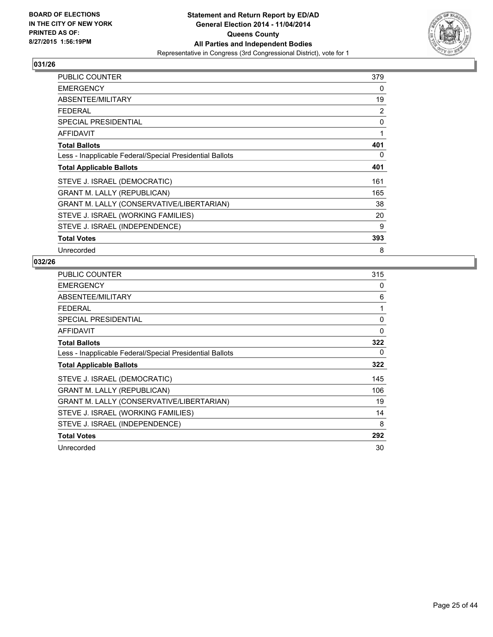

| <b>PUBLIC COUNTER</b>                                    | 379 |
|----------------------------------------------------------|-----|
| <b>EMERGENCY</b>                                         | 0   |
| ABSENTEE/MILITARY                                        | 19  |
| <b>FEDERAL</b>                                           | 2   |
| <b>SPECIAL PRESIDENTIAL</b>                              | 0   |
| AFFIDAVIT                                                | 1   |
| <b>Total Ballots</b>                                     | 401 |
| Less - Inapplicable Federal/Special Presidential Ballots | 0   |
| <b>Total Applicable Ballots</b>                          | 401 |
| STEVE J. ISRAEL (DEMOCRATIC)                             | 161 |
| <b>GRANT M. LALLY (REPUBLICAN)</b>                       | 165 |
| GRANT M. LALLY (CONSERVATIVE/LIBERTARIAN)                | 38  |
| STEVE J. ISRAEL (WORKING FAMILIES)                       | 20  |
| STEVE J. ISRAEL (INDEPENDENCE)                           | 9   |
| <b>Total Votes</b>                                       | 393 |
| Unrecorded                                               | 8   |

| <b>PUBLIC COUNTER</b>                                    | 315         |
|----------------------------------------------------------|-------------|
| <b>EMERGENCY</b>                                         | 0           |
| ABSENTEE/MILITARY                                        | 6           |
| <b>FEDERAL</b>                                           | 1           |
| <b>SPECIAL PRESIDENTIAL</b>                              | $\mathbf 0$ |
| <b>AFFIDAVIT</b>                                         | $\Omega$    |
| <b>Total Ballots</b>                                     | 322         |
| Less - Inapplicable Federal/Special Presidential Ballots | 0           |
| <b>Total Applicable Ballots</b>                          | 322         |
| STEVE J. ISRAEL (DEMOCRATIC)                             | 145         |
| <b>GRANT M. LALLY (REPUBLICAN)</b>                       | 106         |
| <b>GRANT M. LALLY (CONSERVATIVE/LIBERTARIAN)</b>         | 19          |
| STEVE J. ISRAEL (WORKING FAMILIES)                       | 14          |
| STEVE J. ISRAEL (INDEPENDENCE)                           | 8           |
| <b>Total Votes</b>                                       | 292         |
| Unrecorded                                               | 30          |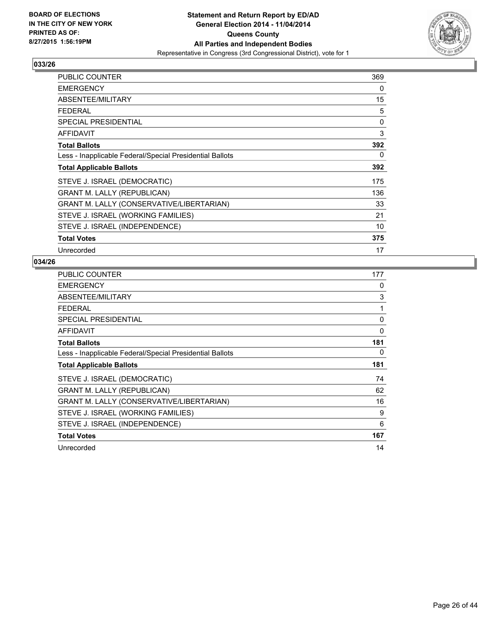

| PUBLIC COUNTER                                           | 369 |
|----------------------------------------------------------|-----|
| <b>EMERGENCY</b>                                         | 0   |
| ABSENTEE/MILITARY                                        | 15  |
| <b>FEDERAL</b>                                           | 5   |
| <b>SPECIAL PRESIDENTIAL</b>                              | 0   |
| AFFIDAVIT                                                | 3   |
| <b>Total Ballots</b>                                     | 392 |
| Less - Inapplicable Federal/Special Presidential Ballots | 0   |
| <b>Total Applicable Ballots</b>                          | 392 |
| STEVE J. ISRAEL (DEMOCRATIC)                             | 175 |
| <b>GRANT M. LALLY (REPUBLICAN)</b>                       | 136 |
| GRANT M. LALLY (CONSERVATIVE/LIBERTARIAN)                | 33  |
| STEVE J. ISRAEL (WORKING FAMILIES)                       | 21  |
| STEVE J. ISRAEL (INDEPENDENCE)                           | 10  |
| <b>Total Votes</b>                                       | 375 |
| Unrecorded                                               | 17  |

| <b>PUBLIC COUNTER</b>                                    | 177      |
|----------------------------------------------------------|----------|
| <b>EMERGENCY</b>                                         | 0        |
| ABSENTEE/MILITARY                                        | 3        |
| <b>FEDERAL</b>                                           | 1        |
| <b>SPECIAL PRESIDENTIAL</b>                              | 0        |
| <b>AFFIDAVIT</b>                                         | $\Omega$ |
| <b>Total Ballots</b>                                     | 181      |
| Less - Inapplicable Federal/Special Presidential Ballots | 0        |
| <b>Total Applicable Ballots</b>                          | 181      |
| STEVE J. ISRAEL (DEMOCRATIC)                             | 74       |
| <b>GRANT M. LALLY (REPUBLICAN)</b>                       | 62       |
| GRANT M. LALLY (CONSERVATIVE/LIBERTARIAN)                | 16       |
| STEVE J. ISRAEL (WORKING FAMILIES)                       | 9        |
| STEVE J. ISRAEL (INDEPENDENCE)                           | 6        |
| <b>Total Votes</b>                                       | 167      |
| Unrecorded                                               | 14       |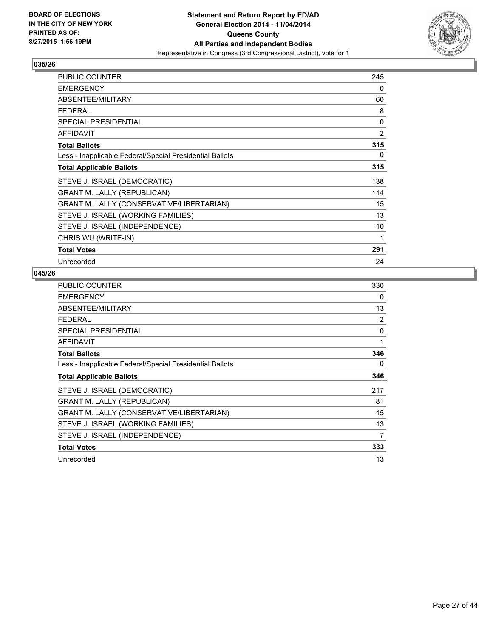

| PUBLIC COUNTER                                           | 245         |
|----------------------------------------------------------|-------------|
| <b>EMERGENCY</b>                                         | 0           |
| ABSENTEE/MILITARY                                        | 60          |
| <b>FEDERAL</b>                                           | 8           |
| <b>SPECIAL PRESIDENTIAL</b>                              | $\mathbf 0$ |
| <b>AFFIDAVIT</b>                                         | 2           |
| <b>Total Ballots</b>                                     | 315         |
| Less - Inapplicable Federal/Special Presidential Ballots | 0           |
| <b>Total Applicable Ballots</b>                          | 315         |
| STEVE J. ISRAEL (DEMOCRATIC)                             | 138         |
| <b>GRANT M. LALLY (REPUBLICAN)</b>                       | 114         |
| GRANT M. LALLY (CONSERVATIVE/LIBERTARIAN)                | 15          |
| STEVE J. ISRAEL (WORKING FAMILIES)                       | 13          |
| STEVE J. ISRAEL (INDEPENDENCE)                           | 10          |
| CHRIS WU (WRITE-IN)                                      | 1           |
| <b>Total Votes</b>                                       | 291         |
| Unrecorded                                               | 24          |

| <b>PUBLIC COUNTER</b>                                    | 330 |
|----------------------------------------------------------|-----|
| <b>EMERGENCY</b>                                         | 0   |
| ABSENTEE/MILITARY                                        | 13  |
| <b>FEDERAL</b>                                           | 2   |
| <b>SPECIAL PRESIDENTIAL</b>                              | 0   |
| <b>AFFIDAVIT</b>                                         | 1   |
| <b>Total Ballots</b>                                     | 346 |
| Less - Inapplicable Federal/Special Presidential Ballots | 0   |
| <b>Total Applicable Ballots</b>                          | 346 |
| STEVE J. ISRAEL (DEMOCRATIC)                             | 217 |
| <b>GRANT M. LALLY (REPUBLICAN)</b>                       | 81  |
| <b>GRANT M. LALLY (CONSERVATIVE/LIBERTARIAN)</b>         | 15  |
| STEVE J. ISRAEL (WORKING FAMILIES)                       | 13  |
| STEVE J. ISRAEL (INDEPENDENCE)                           | 7   |
| <b>Total Votes</b>                                       | 333 |
| Unrecorded                                               | 13  |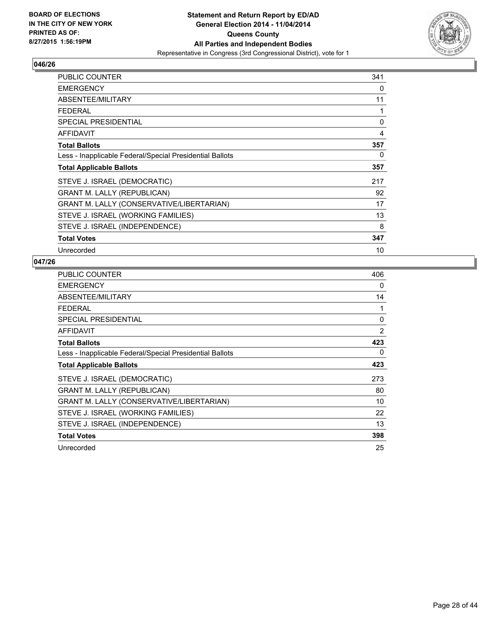

| <b>PUBLIC COUNTER</b>                                    | 341 |
|----------------------------------------------------------|-----|
| <b>EMERGENCY</b>                                         | 0   |
| ABSENTEE/MILITARY                                        | 11  |
| <b>FEDERAL</b>                                           | 1   |
| <b>SPECIAL PRESIDENTIAL</b>                              | 0   |
| <b>AFFIDAVIT</b>                                         | 4   |
| <b>Total Ballots</b>                                     | 357 |
| Less - Inapplicable Federal/Special Presidential Ballots | 0   |
| <b>Total Applicable Ballots</b>                          | 357 |
| STEVE J. ISRAEL (DEMOCRATIC)                             | 217 |
| <b>GRANT M. LALLY (REPUBLICAN)</b>                       | 92  |
| GRANT M. LALLY (CONSERVATIVE/LIBERTARIAN)                | 17  |
| STEVE J. ISRAEL (WORKING FAMILIES)                       | 13  |
| STEVE J. ISRAEL (INDEPENDENCE)                           | 8   |
| <b>Total Votes</b>                                       | 347 |
| Unrecorded                                               | 10  |

| PUBLIC COUNTER                                           | 406 |
|----------------------------------------------------------|-----|
| <b>EMERGENCY</b>                                         | 0   |
| ABSENTEE/MILITARY                                        | 14  |
| <b>FEDERAL</b>                                           | 1   |
| <b>SPECIAL PRESIDENTIAL</b>                              | 0   |
| AFFIDAVIT                                                | 2   |
| <b>Total Ballots</b>                                     | 423 |
| Less - Inapplicable Federal/Special Presidential Ballots | 0   |
| <b>Total Applicable Ballots</b>                          | 423 |
| STEVE J. ISRAEL (DEMOCRATIC)                             | 273 |
| <b>GRANT M. LALLY (REPUBLICAN)</b>                       | 80  |
| <b>GRANT M. LALLY (CONSERVATIVE/LIBERTARIAN)</b>         | 10  |
| STEVE J. ISRAEL (WORKING FAMILIES)                       | 22  |
| STEVE J. ISRAEL (INDEPENDENCE)                           | 13  |
| <b>Total Votes</b>                                       | 398 |
| Unrecorded                                               | 25  |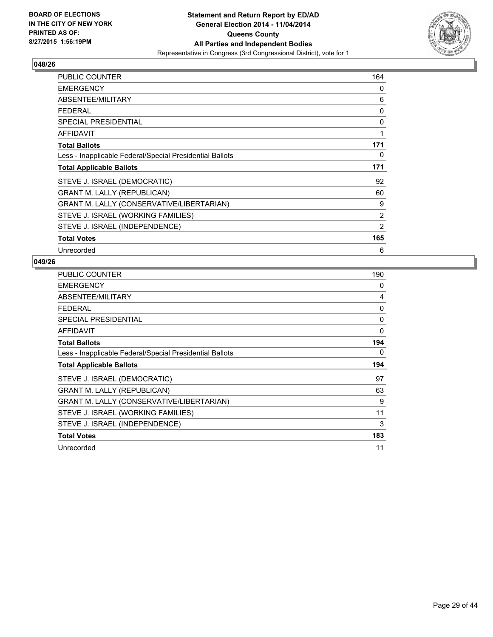

| <b>PUBLIC COUNTER</b>                                    | 164 |
|----------------------------------------------------------|-----|
| <b>EMERGENCY</b>                                         | 0   |
| ABSENTEE/MILITARY                                        | 6   |
| <b>FEDERAL</b>                                           | 0   |
| <b>SPECIAL PRESIDENTIAL</b>                              | 0   |
| AFFIDAVIT                                                | 1   |
| <b>Total Ballots</b>                                     | 171 |
| Less - Inapplicable Federal/Special Presidential Ballots | 0   |
| <b>Total Applicable Ballots</b>                          | 171 |
| STEVE J. ISRAEL (DEMOCRATIC)                             | 92  |
| <b>GRANT M. LALLY (REPUBLICAN)</b>                       | 60  |
| GRANT M. LALLY (CONSERVATIVE/LIBERTARIAN)                | 9   |
| STEVE J. ISRAEL (WORKING FAMILIES)                       | 2   |
| STEVE J. ISRAEL (INDEPENDENCE)                           | 2   |
| <b>Total Votes</b>                                       | 165 |
| Unrecorded                                               | 6   |

| <b>PUBLIC COUNTER</b>                                    | 190 |
|----------------------------------------------------------|-----|
| <b>EMERGENCY</b>                                         | 0   |
| ABSENTEE/MILITARY                                        | 4   |
| <b>FEDERAL</b>                                           | 0   |
| <b>SPECIAL PRESIDENTIAL</b>                              | 0   |
| <b>AFFIDAVIT</b>                                         | 0   |
| <b>Total Ballots</b>                                     | 194 |
| Less - Inapplicable Federal/Special Presidential Ballots | 0   |
| <b>Total Applicable Ballots</b>                          | 194 |
| STEVE J. ISRAEL (DEMOCRATIC)                             | 97  |
| <b>GRANT M. LALLY (REPUBLICAN)</b>                       | 63  |
| GRANT M. LALLY (CONSERVATIVE/LIBERTARIAN)                | 9   |
| STEVE J. ISRAEL (WORKING FAMILIES)                       | 11  |
| STEVE J. ISRAEL (INDEPENDENCE)                           | 3   |
| <b>Total Votes</b>                                       | 183 |
| Unrecorded                                               | 11  |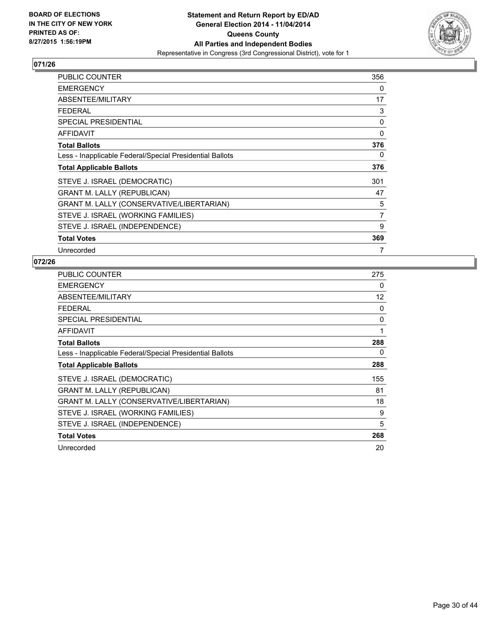

| <b>PUBLIC COUNTER</b>                                    | 356            |
|----------------------------------------------------------|----------------|
| <b>EMERGENCY</b>                                         | 0              |
| ABSENTEE/MILITARY                                        | 17             |
| <b>FEDERAL</b>                                           | 3              |
| <b>SPECIAL PRESIDENTIAL</b>                              | 0              |
| <b>AFFIDAVIT</b>                                         | 0              |
| Total Ballots                                            | 376            |
| Less - Inapplicable Federal/Special Presidential Ballots | 0              |
| <b>Total Applicable Ballots</b>                          | 376            |
| STEVE J. ISRAEL (DEMOCRATIC)                             | 301            |
| <b>GRANT M. LALLY (REPUBLICAN)</b>                       | 47             |
| <b>GRANT M. LALLY (CONSERVATIVE/LIBERTARIAN)</b>         | 5              |
| STEVE J. ISRAEL (WORKING FAMILIES)                       | $\overline{7}$ |
| STEVE J. ISRAEL (INDEPENDENCE)                           | 9              |
| <b>Total Votes</b>                                       | 369            |
| Unrecorded                                               | 7              |

| PUBLIC COUNTER                                           | 275               |
|----------------------------------------------------------|-------------------|
| <b>EMERGENCY</b>                                         | 0                 |
| ABSENTEE/MILITARY                                        | $12 \overline{ }$ |
| <b>FEDERAL</b>                                           | 0                 |
| <b>SPECIAL PRESIDENTIAL</b>                              | 0                 |
| AFFIDAVIT                                                | 1                 |
| <b>Total Ballots</b>                                     | 288               |
| Less - Inapplicable Federal/Special Presidential Ballots | 0                 |
| <b>Total Applicable Ballots</b>                          | 288               |
| STEVE J. ISRAEL (DEMOCRATIC)                             | 155               |
| <b>GRANT M. LALLY (REPUBLICAN)</b>                       | 81                |
| GRANT M. LALLY (CONSERVATIVE/LIBERTARIAN)                | 18                |
| STEVE J. ISRAEL (WORKING FAMILIES)                       | 9                 |
| STEVE J. ISRAEL (INDEPENDENCE)                           | 5                 |
| <b>Total Votes</b>                                       | 268               |
| Unrecorded                                               | 20                |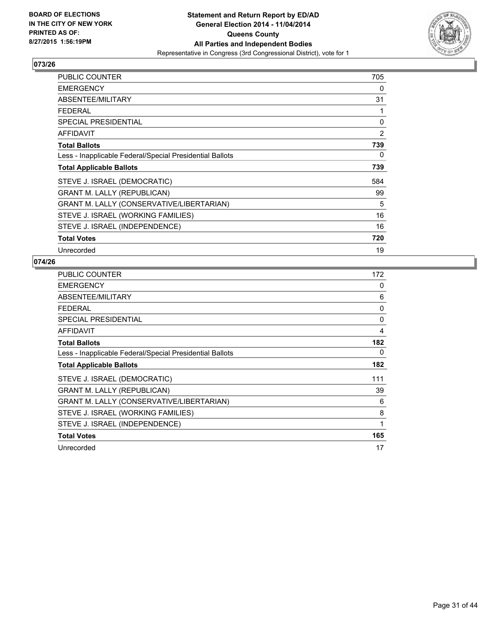

| <b>PUBLIC COUNTER</b>                                    | 705            |
|----------------------------------------------------------|----------------|
| <b>EMERGENCY</b>                                         | 0              |
| ABSENTEE/MILITARY                                        | 31             |
| FFDFRAI                                                  | 1              |
| <b>SPECIAL PRESIDENTIAL</b>                              | 0              |
| AFFIDAVIT                                                | $\overline{2}$ |
| <b>Total Ballots</b>                                     | 739            |
| Less - Inapplicable Federal/Special Presidential Ballots | 0              |
| <b>Total Applicable Ballots</b>                          | 739            |
| STEVE J. ISRAEL (DEMOCRATIC)                             | 584            |
| <b>GRANT M. LALLY (REPUBLICAN)</b>                       | 99             |
| <b>GRANT M. LALLY (CONSERVATIVE/LIBERTARIAN)</b>         | 5              |
| STEVE J. ISRAEL (WORKING FAMILIES)                       | 16             |
| STEVE J. ISRAEL (INDEPENDENCE)                           | 16             |
| <b>Total Votes</b>                                       | 720            |
| Unrecorded                                               | 19             |

| <b>PUBLIC COUNTER</b>                                    | 172 |
|----------------------------------------------------------|-----|
| <b>EMERGENCY</b>                                         | 0   |
| ABSENTEE/MILITARY                                        | 6   |
| <b>FEDERAL</b>                                           | 0   |
| <b>SPECIAL PRESIDENTIAL</b>                              | 0   |
| <b>AFFIDAVIT</b>                                         | 4   |
| <b>Total Ballots</b>                                     | 182 |
| Less - Inapplicable Federal/Special Presidential Ballots | 0   |
| <b>Total Applicable Ballots</b>                          | 182 |
| STEVE J. ISRAEL (DEMOCRATIC)                             | 111 |
| <b>GRANT M. LALLY (REPUBLICAN)</b>                       | 39  |
| GRANT M. LALLY (CONSERVATIVE/LIBERTARIAN)                | 6   |
| STEVE J. ISRAEL (WORKING FAMILIES)                       | 8   |
| STEVE J. ISRAEL (INDEPENDENCE)                           | 1   |
| <b>Total Votes</b>                                       | 165 |
| Unrecorded                                               | 17  |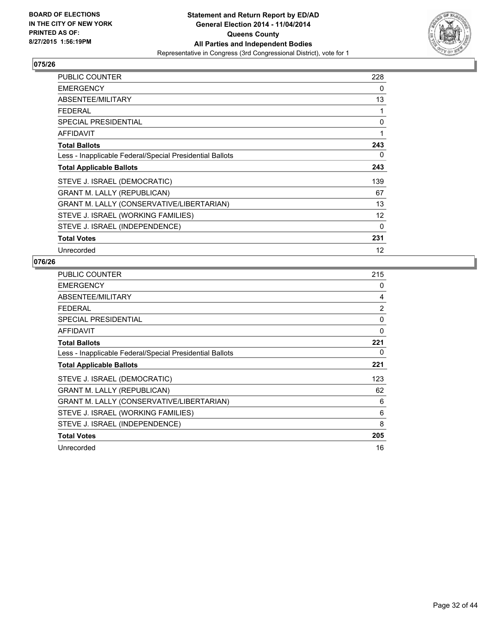

| <b>PUBLIC COUNTER</b>                                    | 228               |
|----------------------------------------------------------|-------------------|
| <b>EMERGENCY</b>                                         | 0                 |
| ABSENTEE/MILITARY                                        | 13                |
| <b>FEDERAL</b>                                           | 1                 |
| <b>SPECIAL PRESIDENTIAL</b>                              | 0                 |
| AFFIDAVIT                                                | 1                 |
| <b>Total Ballots</b>                                     | 243               |
| Less - Inapplicable Federal/Special Presidential Ballots | 0                 |
| <b>Total Applicable Ballots</b>                          | 243               |
| STEVE J. ISRAEL (DEMOCRATIC)                             | 139               |
| <b>GRANT M. LALLY (REPUBLICAN)</b>                       | 67                |
| GRANT M. LALLY (CONSERVATIVE/LIBERTARIAN)                | 13                |
| STEVE J. ISRAEL (WORKING FAMILIES)                       | $12 \overline{ }$ |
| STEVE J. ISRAEL (INDEPENDENCE)                           | 0                 |
| <b>Total Votes</b>                                       | 231               |
| Unrecorded                                               | 12                |

| <b>PUBLIC COUNTER</b>                                    | 215            |
|----------------------------------------------------------|----------------|
| <b>EMERGENCY</b>                                         | 0              |
| ABSENTEE/MILITARY                                        | 4              |
| <b>FEDERAL</b>                                           | $\overline{2}$ |
| <b>SPECIAL PRESIDENTIAL</b>                              | 0              |
| <b>AFFIDAVIT</b>                                         | $\Omega$       |
| <b>Total Ballots</b>                                     | 221            |
| Less - Inapplicable Federal/Special Presidential Ballots | 0              |
| <b>Total Applicable Ballots</b>                          | 221            |
| STEVE J. ISRAEL (DEMOCRATIC)                             | 123            |
| <b>GRANT M. LALLY (REPUBLICAN)</b>                       | 62             |
| GRANT M. LALLY (CONSERVATIVE/LIBERTARIAN)                | 6              |
| STEVE J. ISRAEL (WORKING FAMILIES)                       | 6              |
| STEVE J. ISRAEL (INDEPENDENCE)                           | 8              |
| <b>Total Votes</b>                                       | 205            |
| Unrecorded                                               | 16             |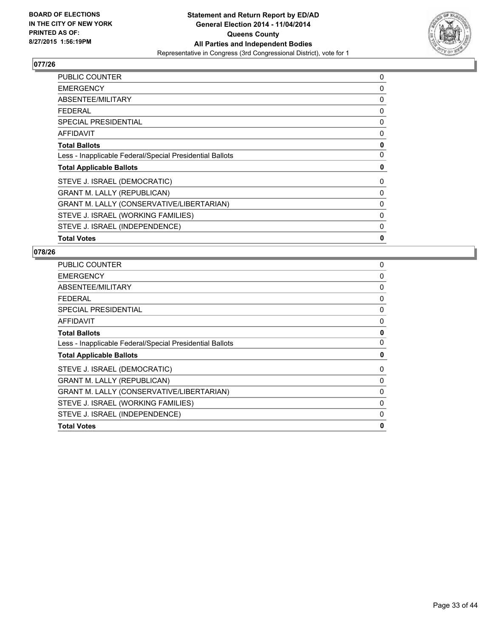

| <b>PUBLIC COUNTER</b>                                    | 0 |
|----------------------------------------------------------|---|
| <b>EMERGENCY</b>                                         | 0 |
| ABSENTEE/MILITARY                                        | 0 |
| FEDERAL                                                  | 0 |
| <b>SPECIAL PRESIDENTIAL</b>                              | 0 |
| AFFIDAVIT                                                | 0 |
| <b>Total Ballots</b>                                     | 0 |
| Less - Inapplicable Federal/Special Presidential Ballots | 0 |
| <b>Total Applicable Ballots</b>                          | 0 |
| STEVE J. ISRAEL (DEMOCRATIC)                             | 0 |
| <b>GRANT M. LALLY (REPUBLICAN)</b>                       | 0 |
| GRANT M. LALLY (CONSERVATIVE/LIBERTARIAN)                | 0 |
| STEVE J. ISRAEL (WORKING FAMILIES)                       | 0 |
| STEVE J. ISRAEL (INDEPENDENCE)                           | 0 |
| <b>Total Votes</b>                                       | 0 |

| PUBLIC COUNTER                                           | 0        |
|----------------------------------------------------------|----------|
| <b>EMERGENCY</b>                                         | $\Omega$ |
| ABSENTEE/MILITARY                                        | 0        |
| <b>FEDERAL</b>                                           | 0        |
| <b>SPECIAL PRESIDENTIAL</b>                              | 0        |
| AFFIDAVIT                                                | 0        |
| <b>Total Ballots</b>                                     | 0        |
| Less - Inapplicable Federal/Special Presidential Ballots | 0        |
| <b>Total Applicable Ballots</b>                          | 0        |
| STEVE J. ISRAEL (DEMOCRATIC)                             | 0        |
| <b>GRANT M. LALLY (REPUBLICAN)</b>                       | 0        |
| GRANT M. LALLY (CONSERVATIVE/LIBERTARIAN)                | 0        |
| STEVE J. ISRAEL (WORKING FAMILIES)                       | 0        |
| STEVE J. ISRAEL (INDEPENDENCE)                           | 0        |
| <b>Total Votes</b>                                       | 0        |
|                                                          |          |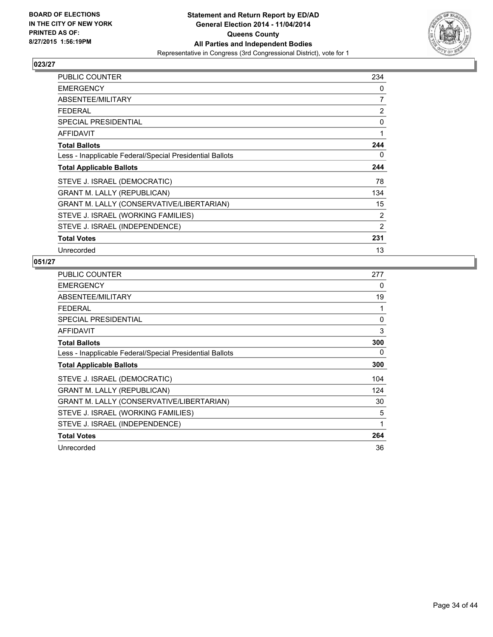

| <b>PUBLIC COUNTER</b>                                    | 234            |
|----------------------------------------------------------|----------------|
| <b>EMERGENCY</b>                                         | 0              |
| ABSENTEE/MILITARY                                        | $\overline{7}$ |
| <b>FEDERAL</b>                                           | 2              |
| <b>SPECIAL PRESIDENTIAL</b>                              | 0              |
| AFFIDAVIT                                                | 1              |
| <b>Total Ballots</b>                                     | 244            |
| Less - Inapplicable Federal/Special Presidential Ballots | 0              |
| <b>Total Applicable Ballots</b>                          | 244            |
| STEVE J. ISRAEL (DEMOCRATIC)                             | 78             |
| <b>GRANT M. LALLY (REPUBLICAN)</b>                       | 134            |
| GRANT M. LALLY (CONSERVATIVE/LIBERTARIAN)                | 15             |
| STEVE J. ISRAEL (WORKING FAMILIES)                       | 2              |
| STEVE J. ISRAEL (INDEPENDENCE)                           | 2              |
| <b>Total Votes</b>                                       | 231            |
| Unrecorded                                               | 13             |

| PUBLIC COUNTER                                           | 277 |
|----------------------------------------------------------|-----|
| <b>EMERGENCY</b>                                         | 0   |
| ABSENTEE/MILITARY                                        | 19  |
| <b>FEDERAL</b>                                           | 1   |
| <b>SPECIAL PRESIDENTIAL</b>                              | 0   |
| <b>AFFIDAVIT</b>                                         | 3   |
| <b>Total Ballots</b>                                     | 300 |
| Less - Inapplicable Federal/Special Presidential Ballots | 0   |
| <b>Total Applicable Ballots</b>                          | 300 |
| STEVE J. ISRAEL (DEMOCRATIC)                             | 104 |
| <b>GRANT M. LALLY (REPUBLICAN)</b>                       | 124 |
| GRANT M. LALLY (CONSERVATIVE/LIBERTARIAN)                | 30  |
| STEVE J. ISRAEL (WORKING FAMILIES)                       | 5   |
| STEVE J. ISRAEL (INDEPENDENCE)                           | 1   |
| <b>Total Votes</b>                                       | 264 |
| Unrecorded                                               | 36  |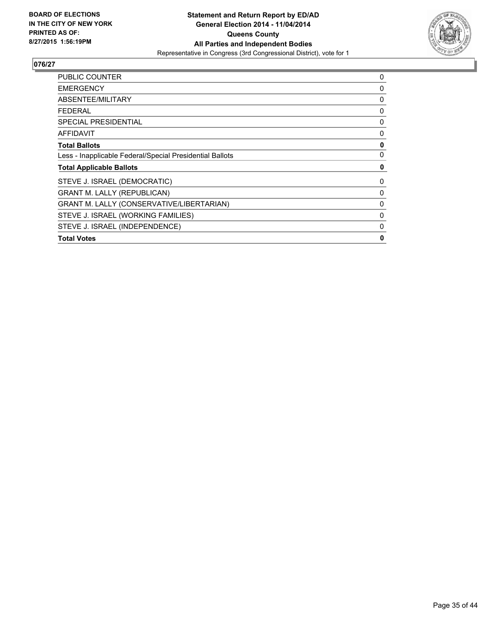

| PUBLIC COUNTER                                           | 0            |
|----------------------------------------------------------|--------------|
| <b>EMERGENCY</b>                                         | 0            |
| ABSENTEE/MILITARY                                        | 0            |
| <b>FEDERAL</b>                                           | 0            |
| SPECIAL PRESIDENTIAL                                     | $\Omega$     |
| AFFIDAVIT                                                | 0            |
| <b>Total Ballots</b>                                     | 0            |
| Less - Inapplicable Federal/Special Presidential Ballots | 0            |
| <b>Total Applicable Ballots</b>                          | 0            |
| STEVE J. ISRAEL (DEMOCRATIC)                             | 0            |
| <b>GRANT M. LALLY (REPUBLICAN)</b>                       | 0            |
| <b>GRANT M. LALLY (CONSERVATIVE/LIBERTARIAN)</b>         | 0            |
| STEVE J. ISRAEL (WORKING FAMILIES)                       | 0            |
| STEVE J. ISRAEL (INDEPENDENCE)                           | 0            |
| <b>Total Votes</b>                                       | $\mathbf{0}$ |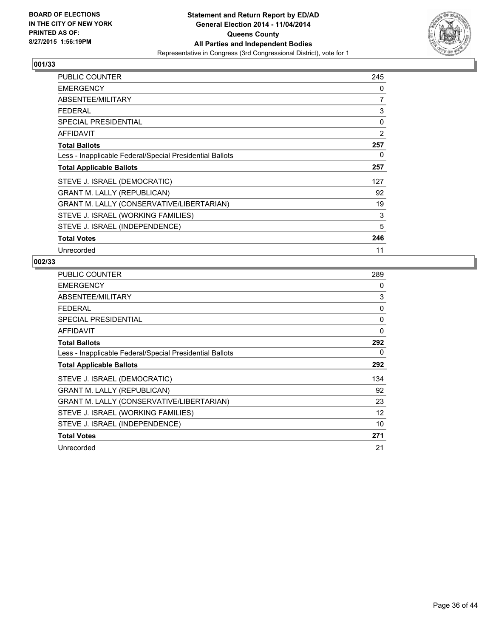

| <b>PUBLIC COUNTER</b>                                    | 245            |
|----------------------------------------------------------|----------------|
| <b>EMERGENCY</b>                                         | 0              |
| ABSENTEE/MILITARY                                        | $\overline{7}$ |
| <b>FEDERAL</b>                                           | 3              |
| <b>SPECIAL PRESIDENTIAL</b>                              | 0              |
| <b>AFFIDAVIT</b>                                         | $\overline{2}$ |
| <b>Total Ballots</b>                                     | 257            |
| Less - Inapplicable Federal/Special Presidential Ballots | 0              |
| <b>Total Applicable Ballots</b>                          | 257            |
| STEVE J. ISRAEL (DEMOCRATIC)                             | 127            |
| <b>GRANT M. LALLY (REPUBLICAN)</b>                       | 92             |
| <b>GRANT M. LALLY (CONSERVATIVE/LIBERTARIAN)</b>         | 19             |
| STEVE J. ISRAEL (WORKING FAMILIES)                       | 3              |
| STEVE J. ISRAEL (INDEPENDENCE)                           | 5              |
| <b>Total Votes</b>                                       | 246            |
| Unrecorded                                               | 11             |

| <b>PUBLIC COUNTER</b>                                    | 289 |
|----------------------------------------------------------|-----|
| <b>EMERGENCY</b>                                         | 0   |
| ABSENTEE/MILITARY                                        | 3   |
| <b>FEDERAL</b>                                           | 0   |
| <b>SPECIAL PRESIDENTIAL</b>                              | 0   |
| <b>AFFIDAVIT</b>                                         | 0   |
| <b>Total Ballots</b>                                     | 292 |
| Less - Inapplicable Federal/Special Presidential Ballots | 0   |
| <b>Total Applicable Ballots</b>                          | 292 |
| STEVE J. ISRAEL (DEMOCRATIC)                             | 134 |
| <b>GRANT M. LALLY (REPUBLICAN)</b>                       | 92  |
| <b>GRANT M. LALLY (CONSERVATIVE/LIBERTARIAN)</b>         | 23  |
| STEVE J. ISRAEL (WORKING FAMILIES)                       | 12  |
| STEVE J. ISRAEL (INDEPENDENCE)                           | 10  |
| <b>Total Votes</b>                                       | 271 |
| Unrecorded                                               | 21  |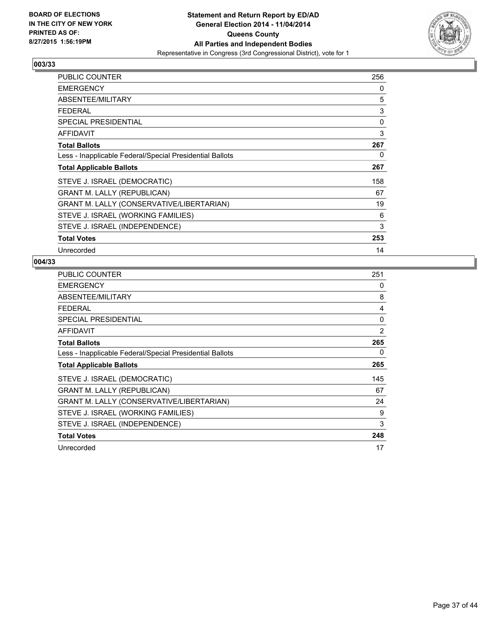

| <b>PUBLIC COUNTER</b>                                    | 256 |
|----------------------------------------------------------|-----|
| <b>EMERGENCY</b>                                         | 0   |
| ABSENTEE/MILITARY                                        | 5   |
| <b>FEDERAL</b>                                           | 3   |
| <b>SPECIAL PRESIDENTIAL</b>                              | 0   |
| <b>AFFIDAVIT</b>                                         | 3   |
| <b>Total Ballots</b>                                     | 267 |
| Less - Inapplicable Federal/Special Presidential Ballots | 0   |
| <b>Total Applicable Ballots</b>                          | 267 |
| STEVE J. ISRAEL (DEMOCRATIC)                             | 158 |
| <b>GRANT M. LALLY (REPUBLICAN)</b>                       | 67  |
| <b>GRANT M. LALLY (CONSERVATIVE/LIBERTARIAN)</b>         | 19  |
| STEVE J. ISRAEL (WORKING FAMILIES)                       | 6   |
| STEVE J. ISRAEL (INDEPENDENCE)                           | 3   |
| <b>Total Votes</b>                                       | 253 |
| Unrecorded                                               | 14  |

| <b>PUBLIC COUNTER</b>                                    | 251 |
|----------------------------------------------------------|-----|
| <b>EMERGENCY</b>                                         | 0   |
| ABSENTEE/MILITARY                                        | 8   |
| FEDERAL                                                  | 4   |
| <b>SPECIAL PRESIDENTIAL</b>                              | 0   |
| <b>AFFIDAVIT</b>                                         | 2   |
| <b>Total Ballots</b>                                     | 265 |
| Less - Inapplicable Federal/Special Presidential Ballots | 0   |
| <b>Total Applicable Ballots</b>                          | 265 |
| STEVE J. ISRAEL (DEMOCRATIC)                             | 145 |
| <b>GRANT M. LALLY (REPUBLICAN)</b>                       | 67  |
| GRANT M. LALLY (CONSERVATIVE/LIBERTARIAN)                | 24  |
| STEVE J. ISRAEL (WORKING FAMILIES)                       | 9   |
| STEVE J. ISRAEL (INDEPENDENCE)                           | 3   |
| <b>Total Votes</b>                                       | 248 |
| Unrecorded                                               | 17  |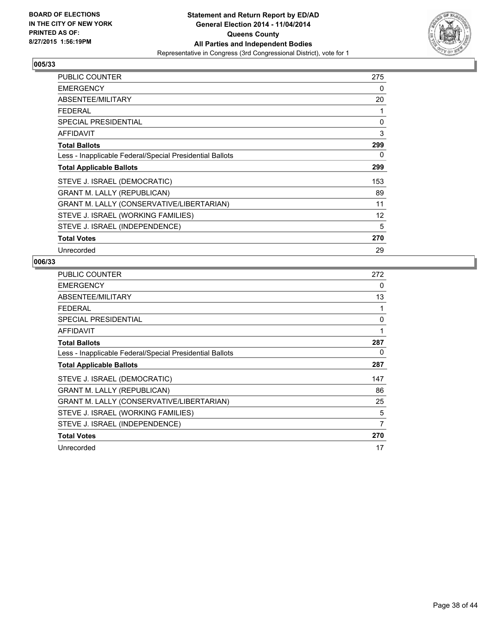

| <b>PUBLIC COUNTER</b>                                    | 275 |
|----------------------------------------------------------|-----|
| <b>EMERGENCY</b>                                         | 0   |
| ABSENTEE/MILITARY                                        | 20  |
| <b>FEDERAL</b>                                           | 1   |
| <b>SPECIAL PRESIDENTIAL</b>                              | 0   |
| <b>AFFIDAVIT</b>                                         | 3   |
| <b>Total Ballots</b>                                     | 299 |
| Less - Inapplicable Federal/Special Presidential Ballots | 0   |
| <b>Total Applicable Ballots</b>                          | 299 |
| STEVE J. ISRAEL (DEMOCRATIC)                             | 153 |
| <b>GRANT M. LALLY (REPUBLICAN)</b>                       | 89  |
| <b>GRANT M. LALLY (CONSERVATIVE/LIBERTARIAN)</b>         | 11  |
| STEVE J. ISRAEL (WORKING FAMILIES)                       | 12  |
| STEVE J. ISRAEL (INDEPENDENCE)                           | 5   |
| <b>Total Votes</b>                                       | 270 |
| Unrecorded                                               | 29  |

| <b>PUBLIC COUNTER</b>                                    | 272 |
|----------------------------------------------------------|-----|
| <b>EMERGENCY</b>                                         | 0   |
| ABSENTEE/MILITARY                                        | 13  |
| <b>FEDERAL</b>                                           | 1   |
| <b>SPECIAL PRESIDENTIAL</b>                              | 0   |
| <b>AFFIDAVIT</b>                                         | 1   |
| <b>Total Ballots</b>                                     | 287 |
| Less - Inapplicable Federal/Special Presidential Ballots | 0   |
| <b>Total Applicable Ballots</b>                          | 287 |
| STEVE J. ISRAEL (DEMOCRATIC)                             | 147 |
| <b>GRANT M. LALLY (REPUBLICAN)</b>                       | 86  |
| GRANT M. LALLY (CONSERVATIVE/LIBERTARIAN)                | 25  |
| STEVE J. ISRAEL (WORKING FAMILIES)                       | 5   |
| STEVE J. ISRAEL (INDEPENDENCE)                           | 7   |
| <b>Total Votes</b>                                       | 270 |
| Unrecorded                                               | 17  |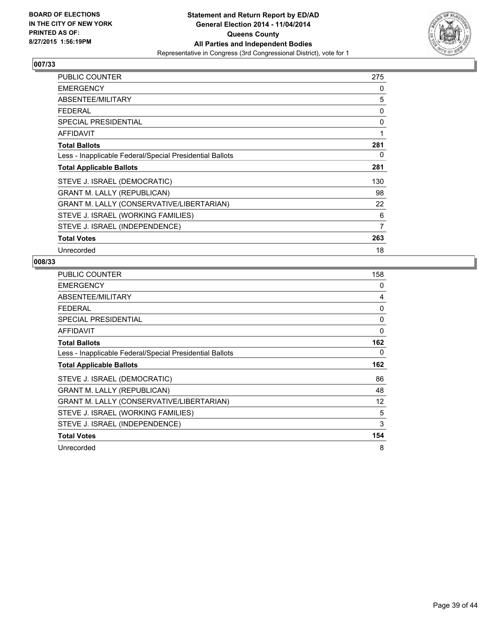

| <b>PUBLIC COUNTER</b>                                    | 275 |
|----------------------------------------------------------|-----|
| <b>EMERGENCY</b>                                         | 0   |
| ABSENTEE/MILITARY                                        | 5   |
| FFDFRAI                                                  | 0   |
| <b>SPECIAL PRESIDENTIAL</b>                              | 0   |
| AFFIDAVIT                                                | 1   |
| <b>Total Ballots</b>                                     | 281 |
| Less - Inapplicable Federal/Special Presidential Ballots | 0   |
| <b>Total Applicable Ballots</b>                          | 281 |
| STEVE J. ISRAEL (DEMOCRATIC)                             | 130 |
| <b>GRANT M. LALLY (REPUBLICAN)</b>                       | 98  |
| <b>GRANT M. LALLY (CONSERVATIVE/LIBERTARIAN)</b>         | 22  |
| STEVE J. ISRAEL (WORKING FAMILIES)                       | 6   |
| STEVE J. ISRAEL (INDEPENDENCE)                           | 7   |
| <b>Total Votes</b>                                       | 263 |
| Unrecorded                                               | 18  |

| <b>PUBLIC COUNTER</b>                                    | 158 |
|----------------------------------------------------------|-----|
| <b>EMERGENCY</b>                                         | 0   |
| ABSENTEE/MILITARY                                        | 4   |
| <b>FEDERAL</b>                                           | 0   |
| <b>SPECIAL PRESIDENTIAL</b>                              | 0   |
| <b>AFFIDAVIT</b>                                         | 0   |
| <b>Total Ballots</b>                                     | 162 |
| Less - Inapplicable Federal/Special Presidential Ballots | 0   |
| <b>Total Applicable Ballots</b>                          | 162 |
| STEVE J. ISRAEL (DEMOCRATIC)                             | 86  |
| <b>GRANT M. LALLY (REPUBLICAN)</b>                       | 48  |
| GRANT M. LALLY (CONSERVATIVE/LIBERTARIAN)                | 12  |
| STEVE J. ISRAEL (WORKING FAMILIES)                       | 5   |
| STEVE J. ISRAEL (INDEPENDENCE)                           | 3   |
| <b>Total Votes</b>                                       | 154 |
| Unrecorded                                               | 8   |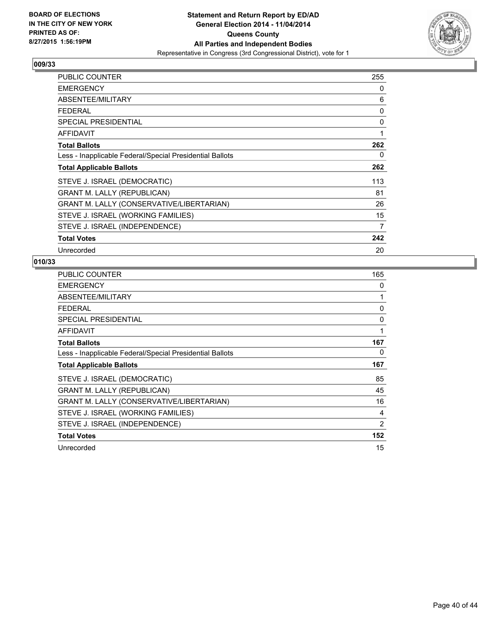

| <b>PUBLIC COUNTER</b>                                    | 255            |
|----------------------------------------------------------|----------------|
| <b>EMERGENCY</b>                                         | 0              |
| ABSENTEE/MILITARY                                        | 6              |
| <b>FEDERAL</b>                                           | 0              |
| <b>SPECIAL PRESIDENTIAL</b>                              | 0              |
| AFFIDAVIT                                                | 1              |
| <b>Total Ballots</b>                                     | 262            |
| Less - Inapplicable Federal/Special Presidential Ballots | 0              |
| <b>Total Applicable Ballots</b>                          | 262            |
| STEVE J. ISRAEL (DEMOCRATIC)                             | 113            |
| <b>GRANT M. LALLY (REPUBLICAN)</b>                       | 81             |
| GRANT M. LALLY (CONSERVATIVE/LIBERTARIAN)                | 26             |
| STEVE J. ISRAEL (WORKING FAMILIES)                       | 15             |
| STEVE J. ISRAEL (INDEPENDENCE)                           | $\overline{7}$ |
| <b>Total Votes</b>                                       | 242            |
| Unrecorded                                               | 20             |

| <b>PUBLIC COUNTER</b>                                    | 165 |
|----------------------------------------------------------|-----|
| <b>EMERGENCY</b>                                         | 0   |
| ABSENTEE/MILITARY                                        | 1   |
| <b>FEDERAL</b>                                           | 0   |
| <b>SPECIAL PRESIDENTIAL</b>                              | 0   |
| <b>AFFIDAVIT</b>                                         | 1   |
| <b>Total Ballots</b>                                     | 167 |
| Less - Inapplicable Federal/Special Presidential Ballots | 0   |
| <b>Total Applicable Ballots</b>                          | 167 |
| STEVE J. ISRAEL (DEMOCRATIC)                             | 85  |
| <b>GRANT M. LALLY (REPUBLICAN)</b>                       | 45  |
| GRANT M. LALLY (CONSERVATIVE/LIBERTARIAN)                | 16  |
| STEVE J. ISRAEL (WORKING FAMILIES)                       | 4   |
| STEVE J. ISRAEL (INDEPENDENCE)                           | 2   |
| <b>Total Votes</b>                                       | 152 |
| Unrecorded                                               | 15  |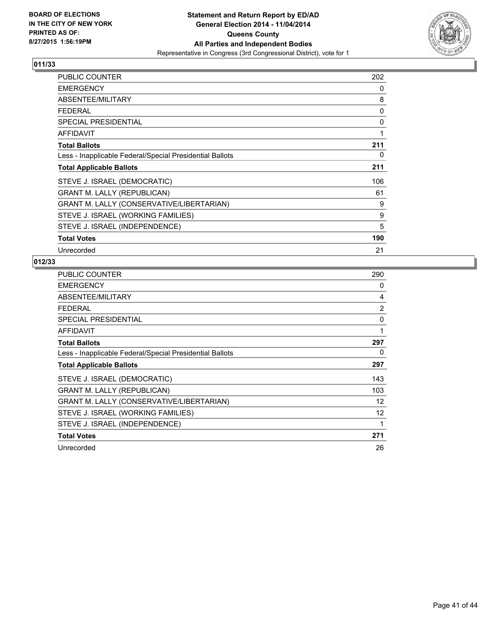

| <b>PUBLIC COUNTER</b>                                    | 202 |
|----------------------------------------------------------|-----|
| <b>EMERGENCY</b>                                         | 0   |
| ABSENTEE/MILITARY                                        | 8   |
| <b>FEDERAL</b>                                           | 0   |
| <b>SPECIAL PRESIDENTIAL</b>                              | 0   |
| AFFIDAVIT                                                | 1   |
| <b>Total Ballots</b>                                     | 211 |
| Less - Inapplicable Federal/Special Presidential Ballots | 0   |
| <b>Total Applicable Ballots</b>                          | 211 |
| STEVE J. ISRAEL (DEMOCRATIC)                             | 106 |
| <b>GRANT M. LALLY (REPUBLICAN)</b>                       | 61  |
| GRANT M. LALLY (CONSERVATIVE/LIBERTARIAN)                | 9   |
| STEVE J. ISRAEL (WORKING FAMILIES)                       | 9   |
| STEVE J. ISRAEL (INDEPENDENCE)                           | 5   |
| <b>Total Votes</b>                                       | 190 |
| Unrecorded                                               | 21  |

| <b>PUBLIC COUNTER</b>                                    | 290            |
|----------------------------------------------------------|----------------|
| <b>EMERGENCY</b>                                         | 0              |
| ABSENTEE/MILITARY                                        | 4              |
| <b>FEDERAL</b>                                           | $\overline{2}$ |
| <b>SPECIAL PRESIDENTIAL</b>                              | 0              |
| <b>AFFIDAVIT</b>                                         | 1              |
| <b>Total Ballots</b>                                     | 297            |
| Less - Inapplicable Federal/Special Presidential Ballots | 0              |
| <b>Total Applicable Ballots</b>                          | 297            |
| STEVE J. ISRAEL (DEMOCRATIC)                             | 143            |
| <b>GRANT M. LALLY (REPUBLICAN)</b>                       | 103            |
| GRANT M. LALLY (CONSERVATIVE/LIBERTARIAN)                | 12             |
| STEVE J. ISRAEL (WORKING FAMILIES)                       | 12             |
| STEVE J. ISRAEL (INDEPENDENCE)                           | 1              |
| <b>Total Votes</b>                                       | 271            |
| Unrecorded                                               | 26             |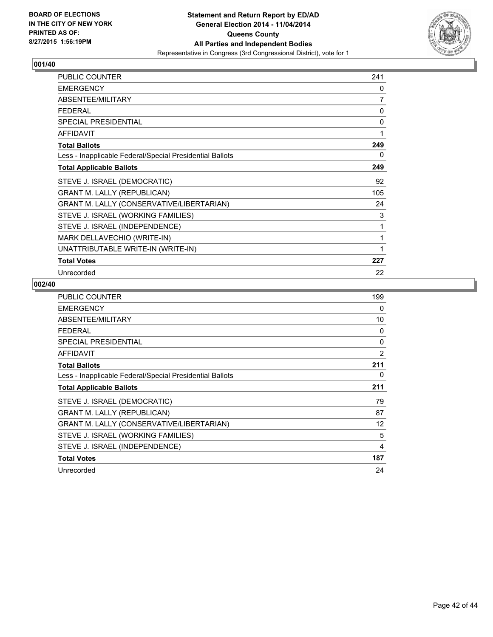

| <b>PUBLIC COUNTER</b>                                    | 241            |
|----------------------------------------------------------|----------------|
| <b>EMERGENCY</b>                                         | 0              |
| ABSENTEE/MILITARY                                        | $\overline{7}$ |
| FFDFRAI                                                  | 0              |
| <b>SPECIAL PRESIDENTIAL</b>                              | 0              |
| AFFIDAVIT                                                | 1              |
| <b>Total Ballots</b>                                     | 249            |
| Less - Inapplicable Federal/Special Presidential Ballots | 0              |
| <b>Total Applicable Ballots</b>                          | 249            |
| STEVE J. ISRAEL (DEMOCRATIC)                             | 92             |
| <b>GRANT M. LALLY (REPUBLICAN)</b>                       | 105            |
| GRANT M. LALLY (CONSERVATIVE/LIBERTARIAN)                | 24             |
| STEVE J. ISRAEL (WORKING FAMILIES)                       | 3              |
| STEVE J. ISRAEL (INDEPENDENCE)                           | 1              |
| MARK DELLAVECHIO (WRITE-IN)                              | 1              |
| UNATTRIBUTABLE WRITE-IN (WRITE-IN)                       |                |
| <b>Total Votes</b>                                       | 227            |
| Unrecorded                                               | 22             |

| <b>PUBLIC COUNTER</b>                                    | 199 |
|----------------------------------------------------------|-----|
| <b>EMERGENCY</b>                                         | 0   |
| ABSENTEE/MILITARY                                        | 10  |
| <b>FEDERAL</b>                                           | 0   |
| <b>SPECIAL PRESIDENTIAL</b>                              | 0   |
| AFFIDAVIT                                                | 2   |
| <b>Total Ballots</b>                                     | 211 |
| Less - Inapplicable Federal/Special Presidential Ballots | 0   |
| <b>Total Applicable Ballots</b>                          | 211 |
| STEVE J. ISRAEL (DEMOCRATIC)                             | 79  |
| <b>GRANT M. LALLY (REPUBLICAN)</b>                       | 87  |
| GRANT M. LALLY (CONSERVATIVE/LIBERTARIAN)                | 12  |
| STEVE J. ISRAEL (WORKING FAMILIES)                       | 5   |
| STEVE J. ISRAEL (INDEPENDENCE)                           | 4   |
| <b>Total Votes</b>                                       | 187 |
| Unrecorded                                               | 24  |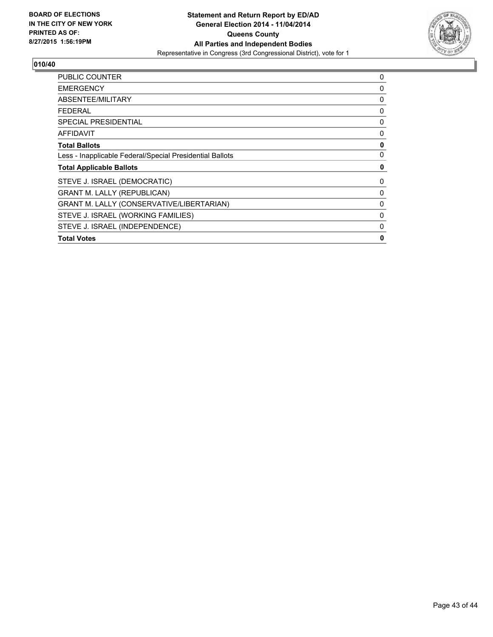

| <b>PUBLIC COUNTER</b>                                    | 0 |
|----------------------------------------------------------|---|
| <b>EMERGENCY</b>                                         | 0 |
| ABSENTEE/MILITARY                                        | 0 |
| <b>FEDERAL</b>                                           | 0 |
| <b>SPECIAL PRESIDENTIAL</b>                              | 0 |
| AFFIDAVIT                                                | 0 |
| <b>Total Ballots</b>                                     | 0 |
| Less - Inapplicable Federal/Special Presidential Ballots | 0 |
| <b>Total Applicable Ballots</b>                          | 0 |
| STEVE J. ISRAEL (DEMOCRATIC)                             | 0 |
| <b>GRANT M. LALLY (REPUBLICAN)</b>                       | 0 |
| GRANT M. LALLY (CONSERVATIVE/LIBERTARIAN)                | 0 |
| STEVE J. ISRAEL (WORKING FAMILIES)                       | 0 |
| STEVE J. ISRAEL (INDEPENDENCE)                           | 0 |
| <b>Total Votes</b>                                       | 0 |